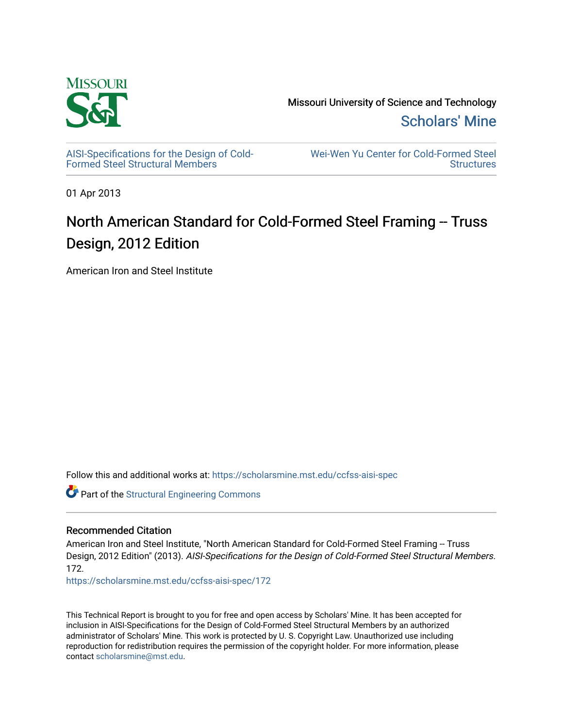

Missouri University of Science and Technology [Scholars' Mine](https://scholarsmine.mst.edu/) 

[AISI-Specifications for the Design of Cold-](https://scholarsmine.mst.edu/ccfss-aisi-spec)[Formed Steel Structural Members](https://scholarsmine.mst.edu/ccfss-aisi-spec)

[Wei-Wen Yu Center for Cold-Formed Steel](https://scholarsmine.mst.edu/ccfss)  **Structures** 

01 Apr 2013

# North American Standard for Cold-Formed Steel Framing -- Truss Design, 2012 Edition

American Iron and Steel Institute

Follow this and additional works at: [https://scholarsmine.mst.edu/ccfss-aisi-spec](https://scholarsmine.mst.edu/ccfss-aisi-spec?utm_source=scholarsmine.mst.edu%2Fccfss-aisi-spec%2F172&utm_medium=PDF&utm_campaign=PDFCoverPages) 

**Part of the Structural Engineering Commons** 

# Recommended Citation

American Iron and Steel Institute, "North American Standard for Cold-Formed Steel Framing -- Truss Design, 2012 Edition" (2013). AISI-Specifications for the Design of Cold-Formed Steel Structural Members. 172.

[https://scholarsmine.mst.edu/ccfss-aisi-spec/172](https://scholarsmine.mst.edu/ccfss-aisi-spec/172?utm_source=scholarsmine.mst.edu%2Fccfss-aisi-spec%2F172&utm_medium=PDF&utm_campaign=PDFCoverPages) 

This Technical Report is brought to you for free and open access by Scholars' Mine. It has been accepted for inclusion in AISI-Specifications for the Design of Cold-Formed Steel Structural Members by an authorized administrator of Scholars' Mine. This work is protected by U. S. Copyright Law. Unauthorized use including reproduction for redistribution requires the permission of the copyright holder. For more information, please contact [scholarsmine@mst.edu](mailto:scholarsmine@mst.edu).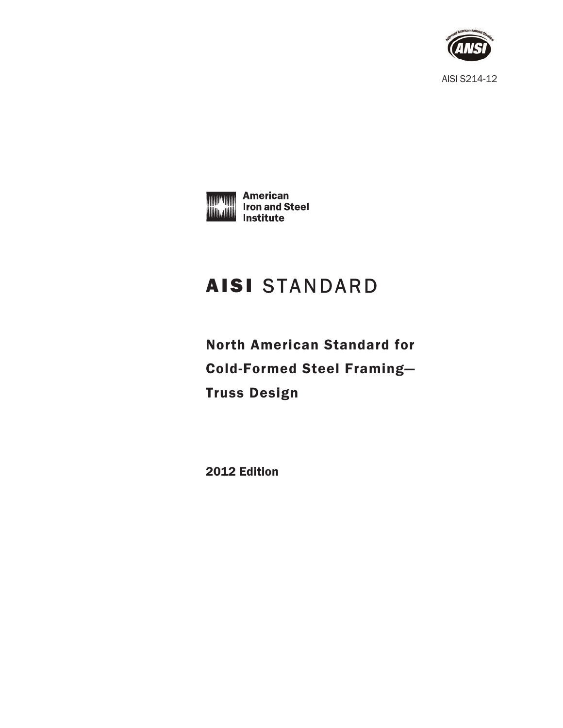

AISI S214-12



# **AISI** STANDARD

North American Standard for Cold-Formed Steel Framing— Truss Design

2012 Edition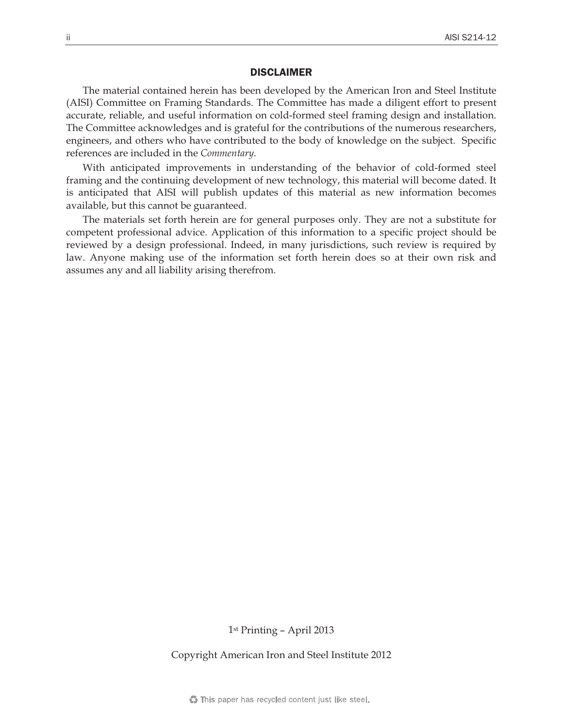# DISCLAIMER

The material contained herein has been developed by the American Iron and Steel Institute (AISI) Committee on Framing Standards. The Committee has made a diligent effort to present accurate, reliable, and useful information on cold-formed steel framing design and installation. The Committee acknowledges and is grateful for the contributions of the numerous researchers, engineers, and others who have contributed to the body of knowledge on the subject. Specific references are included in the *Commentary*.

With anticipated improvements in understanding of the behavior of cold-formed steel framing and the continuing development of new technology, this material will become dated. It is anticipated that AISI will publish updates of this material as new information becomes available, but this cannot be guaranteed.

The materials set forth herein are for general purposes only. They are not a substitute for competent professional advice. Application of this information to a specific project should be reviewed by a design professional. Indeed, in many jurisdictions, such review is required by law. Anyone making use of the information set forth herein does so at their own risk and assumes any and all liability arising therefrom.

1st Printing – April 2013

Copyright American Iron and Steel Institute 2012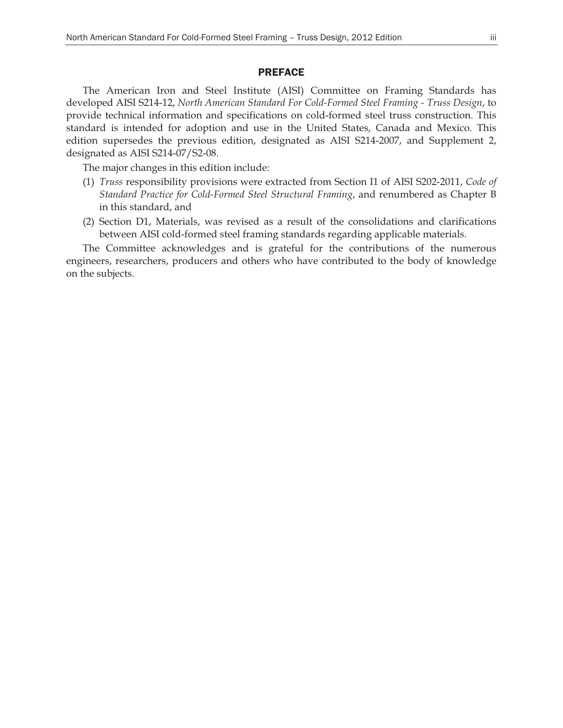# PREFACE

The American Iron and Steel Institute (AISI) Committee on Framing Standards has developed AISI S214-12, *North American Standard For Cold-Formed Steel Framing - Truss Design*, to provide technical information and specifications on cold-formed steel truss construction. This standard is intended for adoption and use in the United States, Canada and Mexico. This edition supersedes the previous edition, designated as AISI S214-2007, and Supplement 2, designated as AISI S214-07/S2-08.

The major changes in this edition include:

- (1) *Truss* responsibility provisions were extracted from Section I1 of AISI S202-2011, *Code of Standard Practice for Cold-Formed Steel Structural Framing*, and renumbered as Chapter B in this standard, and
- (2) Section D1, Materials, was revised as a result of the consolidations and clarifications between AISI cold-formed steel framing standards regarding applicable materials.

The Committee acknowledges and is grateful for the contributions of the numerous engineers, researchers, producers and others who have contributed to the body of knowledge on the subjects.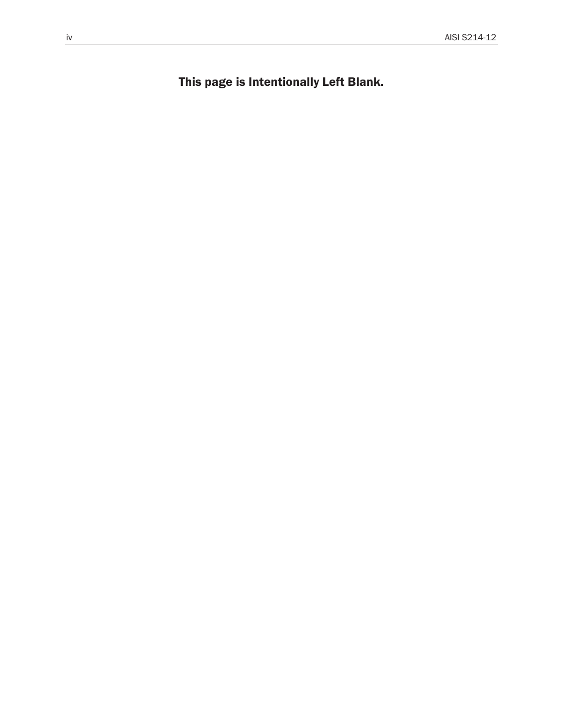This page is Intentionally Left Blank.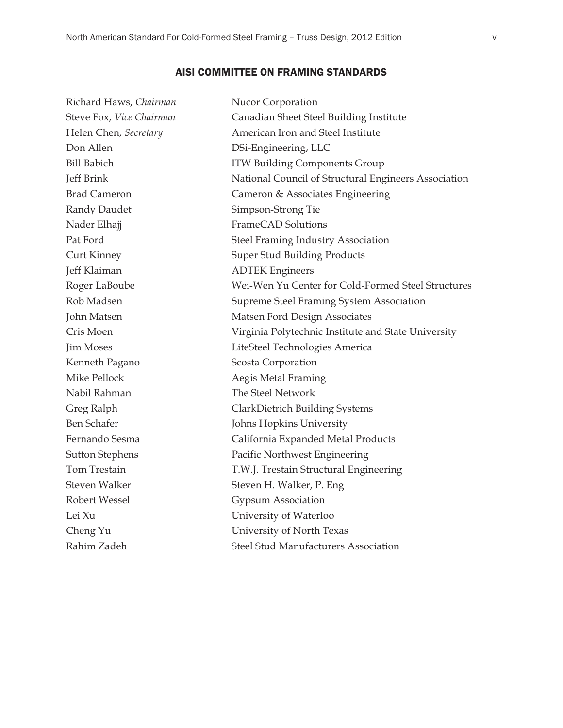# AISI COMMITTEE ON FRAMING STANDARDS

| Richard Haws, Chairman   | <b>Nucor Corporation</b>                             |
|--------------------------|------------------------------------------------------|
| Steve Fox, Vice Chairman | Canadian Sheet Steel Building Institute              |
| Helen Chen, Secretary    | American Iron and Steel Institute                    |
| Don Allen                | DSi-Engineering, LLC                                 |
| <b>Bill Babich</b>       | ITW Building Components Group                        |
| Jeff Brink               | National Council of Structural Engineers Association |
| <b>Brad Cameron</b>      | Cameron & Associates Engineering                     |
| Randy Daudet             | Simpson-Strong Tie                                   |
| Nader Elhajj             | FrameCAD Solutions                                   |
| Pat Ford                 | Steel Framing Industry Association                   |
| <b>Curt Kinney</b>       | <b>Super Stud Building Products</b>                  |
| Jeff Klaiman             | <b>ADTEK Engineers</b>                               |
| Roger LaBoube            | Wei-Wen Yu Center for Cold-Formed Steel Structures   |
| Rob Madsen               | Supreme Steel Framing System Association             |
| John Matsen              | Matsen Ford Design Associates                        |
| Cris Moen                | Virginia Polytechnic Institute and State University  |
| <b>Jim Moses</b>         | LiteSteel Technologies America                       |
| Kenneth Pagano           | Scosta Corporation                                   |
| Mike Pellock             | <b>Aegis Metal Framing</b>                           |
| Nabil Rahman             | The Steel Network                                    |
| Greg Ralph               | <b>ClarkDietrich Building Systems</b>                |
| <b>Ben Schafer</b>       | Johns Hopkins University                             |
| Fernando Sesma           | California Expanded Metal Products                   |
| <b>Sutton Stephens</b>   | Pacific Northwest Engineering                        |
| Tom Trestain             | T.W.J. Trestain Structural Engineering               |
| <b>Steven Walker</b>     | Steven H. Walker, P. Eng                             |
| Robert Wessel            | <b>Gypsum Association</b>                            |
| Lei Xu                   | University of Waterloo                               |
| Cheng Yu                 | University of North Texas                            |
| Rahim Zadeh              | Steel Stud Manufacturers Association                 |
|                          |                                                      |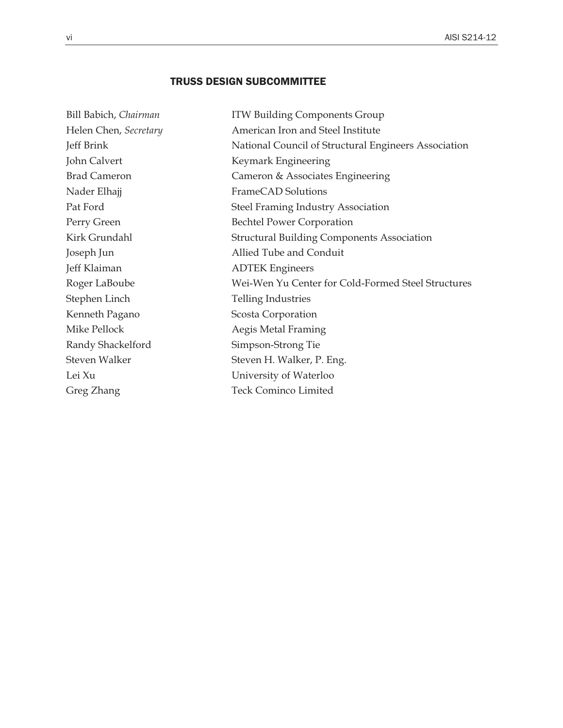# TRUSS DESIGN SUBCOMMITTEE

| Bill Babich, Chairman | <b>ITW Building Components Group</b>                 |
|-----------------------|------------------------------------------------------|
| Helen Chen, Secretary | American Iron and Steel Institute                    |
| Jeff Brink            | National Council of Structural Engineers Association |
| John Calvert          | Keymark Engineering                                  |
| <b>Brad Cameron</b>   | Cameron & Associates Engineering                     |
| Nader Elhajj          | FrameCAD Solutions                                   |
| Pat Ford              | <b>Steel Framing Industry Association</b>            |
| Perry Green           | <b>Bechtel Power Corporation</b>                     |
| Kirk Grundahl         | <b>Structural Building Components Association</b>    |
| Joseph Jun            | Allied Tube and Conduit                              |
| Jeff Klaiman          | <b>ADTEK Engineers</b>                               |
| Roger LaBoube         | Wei-Wen Yu Center for Cold-Formed Steel Structures   |
| Stephen Linch         | Telling Industries                                   |
| Kenneth Pagano        | Scosta Corporation                                   |
| Mike Pellock          | Aegis Metal Framing                                  |
| Randy Shackelford     | Simpson-Strong Tie                                   |
| <b>Steven Walker</b>  | Steven H. Walker, P. Eng.                            |
| Lei Xu                | University of Waterloo                               |
| Greg Zhang            | <b>Teck Cominco Limited</b>                          |
|                       |                                                      |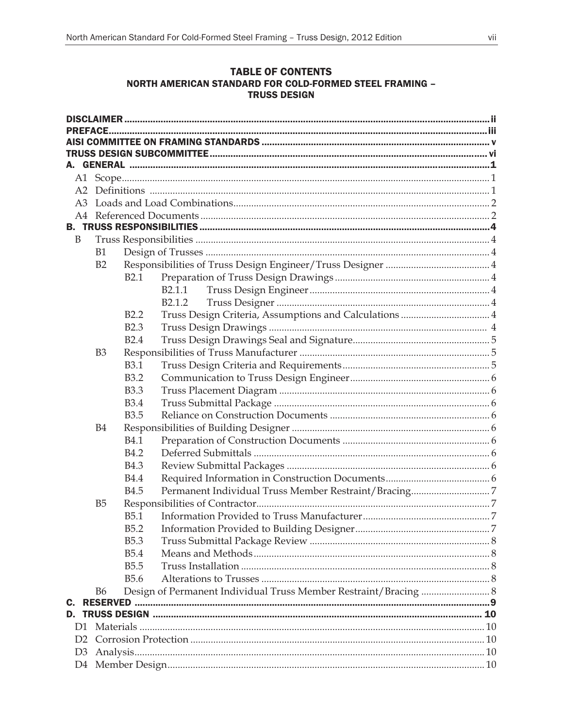# **TABLE OF CONTENTS** NORTH AMERICAN STANDARD FOR COLD-FORMED STEEL FRAMING -**TRUSS DESIGN**

| B              |                |              |                                                        |  |
|----------------|----------------|--------------|--------------------------------------------------------|--|
|                | B <sub>1</sub> |              |                                                        |  |
|                | B2             |              |                                                        |  |
|                |                | B2.1         |                                                        |  |
|                |                |              | <b>B2.1.1</b>                                          |  |
|                |                |              | B <sub>2.1.2</sub>                                     |  |
|                |                | <b>B2.2</b>  | Truss Design Criteria, Assumptions and Calculations  4 |  |
|                |                | <b>B2.3</b>  |                                                        |  |
|                |                | <b>B2.4</b>  |                                                        |  |
|                | B <sub>3</sub> |              |                                                        |  |
|                |                | <b>B3.1</b>  |                                                        |  |
|                |                | <b>B3.2</b>  |                                                        |  |
|                |                | <b>B3.3</b>  |                                                        |  |
|                |                | <b>B</b> 3.4 |                                                        |  |
|                |                | <b>B3.5</b>  |                                                        |  |
|                | <b>B4</b>      |              |                                                        |  |
|                |                | <b>B4.1</b>  |                                                        |  |
|                |                | <b>B4.2</b>  |                                                        |  |
|                |                | <b>B4.3</b>  |                                                        |  |
|                |                | <b>B4.4</b>  |                                                        |  |
|                |                | <b>B4.5</b>  |                                                        |  |
|                | B <sub>5</sub> |              |                                                        |  |
|                |                | <b>B5.1</b>  |                                                        |  |
|                |                | <b>B5.2</b>  |                                                        |  |
|                |                | <b>B5.3</b>  |                                                        |  |
|                |                | <b>B5.4</b>  |                                                        |  |
|                |                | <b>B5.5</b>  |                                                        |  |
|                |                | <b>B5.6</b>  |                                                        |  |
|                | B <sub>6</sub> |              |                                                        |  |
| C.             |                |              |                                                        |  |
| D.             |                |              |                                                        |  |
|                |                |              |                                                        |  |
|                |                |              |                                                        |  |
| D <sub>3</sub> |                |              |                                                        |  |
|                |                |              |                                                        |  |
|                |                |              |                                                        |  |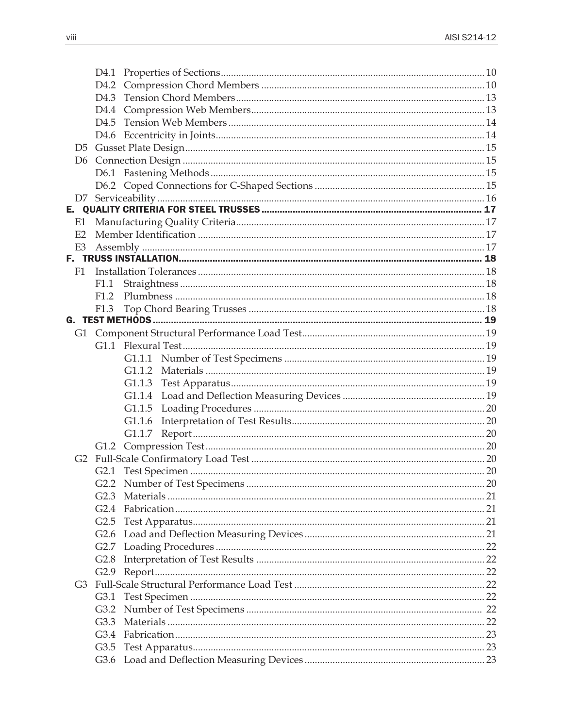|                | D <sub>4.3</sub> |        |  |
|----------------|------------------|--------|--|
|                | D4.4             |        |  |
|                | D <sub>4.5</sub> |        |  |
|                |                  |        |  |
|                |                  |        |  |
|                |                  |        |  |
|                |                  |        |  |
|                |                  |        |  |
|                |                  |        |  |
|                |                  |        |  |
| E1             |                  |        |  |
| E2             |                  |        |  |
| E <sub>3</sub> |                  |        |  |
|                |                  |        |  |
| F1             |                  |        |  |
|                | F1.1             |        |  |
|                | F1.2             |        |  |
|                | F1.3             |        |  |
|                |                  |        |  |
|                |                  |        |  |
|                |                  |        |  |
|                |                  |        |  |
|                |                  |        |  |
|                |                  |        |  |
|                |                  | G1.1.4 |  |
|                |                  | G1.1.5 |  |
|                |                  | G1.1.6 |  |
|                |                  | G1.1.7 |  |
|                |                  |        |  |
|                |                  |        |  |
|                |                  |        |  |
|                |                  |        |  |
|                | G2.3             |        |  |
|                | G2.4             |        |  |
|                | G2.5             |        |  |
|                | G2.6             |        |  |
|                | G2.7             |        |  |
|                | G2.8             |        |  |
|                | G2.9             |        |  |
| G <sub>3</sub> |                  |        |  |
|                | G3.1             |        |  |
|                | G3.2             |        |  |
|                | G3.3             |        |  |
|                | G3.4             |        |  |
|                | G3.5             |        |  |
|                |                  |        |  |
|                |                  |        |  |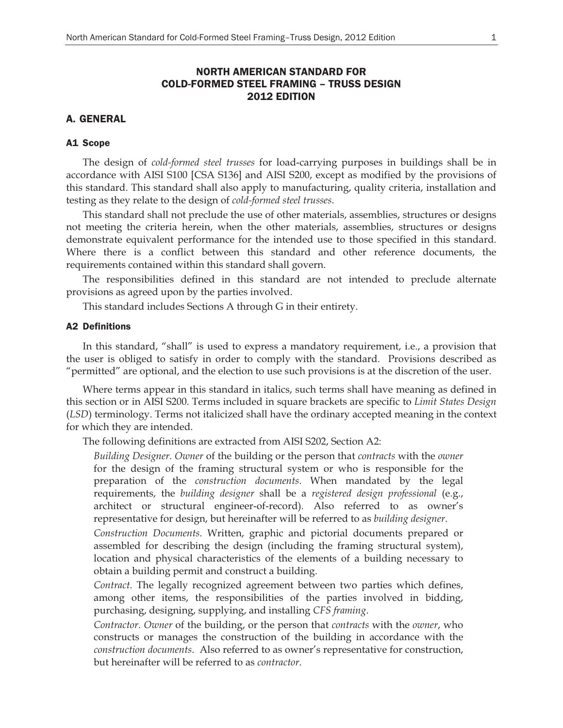# NORTH AMERICAN STANDARD FOR COLD-FORMED STEEL FRAMING – TRUSS DESIGN 2012 EDITION

# A. GENERAL

## A1 Scope

The design of *cold-formed steel trusses* for load-carrying purposes in buildings shall be in accordance with AISI S100 [CSA S136] and AISI S200, except as modified by the provisions of this standard. This standard shall also apply to manufacturing, quality criteria, installation and testing as they relate to the design of *cold-formed steel trusses*.

This standard shall not preclude the use of other materials, assemblies, structures or designs not meeting the criteria herein, when the other materials, assemblies, structures or designs demonstrate equivalent performance for the intended use to those specified in this standard. Where there is a conflict between this standard and other reference documents, the requirements contained within this standard shall govern.

The responsibilities defined in this standard are not intended to preclude alternate provisions as agreed upon by the parties involved.

This standard includes Sections A through G in their entirety.

## A2 Definitions

In this standard, "shall" is used to express a mandatory requirement, i.e., a provision that the user is obliged to satisfy in order to comply with the standard. Provisions described as "permitted" are optional, and the election to use such provisions is at the discretion of the user.

Where terms appear in this standard in italics, such terms shall have meaning as defined in this section or in AISI S200. Terms included in square brackets are specific to *Limit States Design* (*LSD*) terminology. Terms not italicized shall have the ordinary accepted meaning in the context for which they are intended.

The following definitions are extracted from AISI S202, Section A2:

 *Building Designer*. *Owner* of the building or the person that *contracts* with the *owner* for the design of the framing structural system or who is responsible for the preparation of the *construction documents*. When mandated by the legal requirements, the *building designer* shall be a *registered design professional* (e.g., architect or structural engineer-of-record). Also referred to as owner's representative for design, but hereinafter will be referred to as *building designer*.

 *Construction Documents*. Written, graphic and pictorial documents prepared or assembled for describing the design (including the framing structural system), location and physical characteristics of the elements of a building necessary to obtain a building permit and construct a building.

 *Contract*. The legally recognized agreement between two parties which defines, among other items, the responsibilities of the parties involved in bidding, purchasing, designing, supplying, and installing *CFS framing*.

 *Contractor*. *Owner* of the building, or the person that *contracts* with the *owner*, who constructs or manages the construction of the building in accordance with the *construction documents*. Also referred to as owner's representative for construction, but hereinafter will be referred to as *contractor*.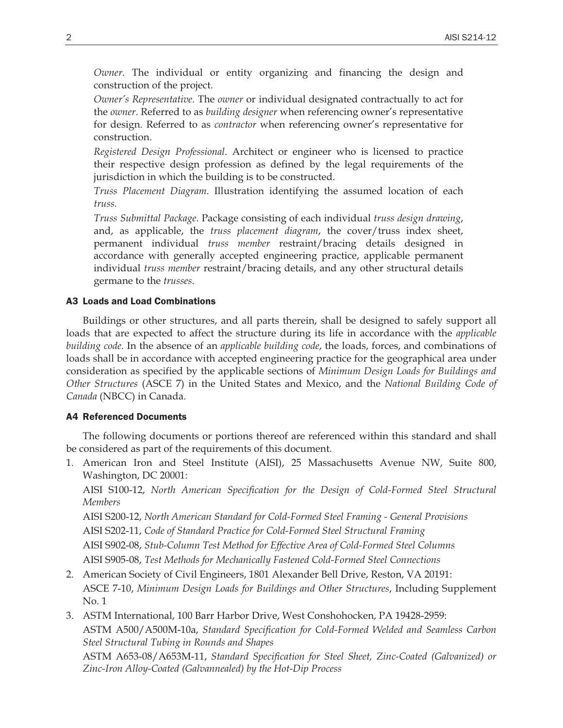*Owner*. The individual or entity organizing and financing the design and construction of the project.

 *Owner's Representative*. The *owner* or individual designated contractually to act for the *owner*. Referred to as *building designer* when referencing owner's representative for design. Referred to as *contractor* when referencing owner's representative for construction.

 *Registered Design Professional*. Architect or engineer who is licensed to practice their respective design profession as defined by the legal requirements of the jurisdiction in which the building is to be constructed.

 *Truss Placement Diagram*. Illustration identifying the assumed location of each *truss*.

 *Truss Submittal Package*. Package consisting of each individual *truss design drawing*, and, as applicable, the *truss placement diagram*, the cover/truss index sheet, permanent individual *truss member* restraint/bracing details designed in accordance with generally accepted engineering practice, applicable permanent individual *truss member* restraint/bracing details, and any other structural details germane to the *trusses*.

# A3 Loads and Load Combinations

Buildings or other structures, and all parts therein, shall be designed to safely support all loads that are expected to affect the structure during its life in accordance with the *applicable building code*. In the absence of an *applicable building code*, the loads, forces, and combinations of loads shall be in accordance with accepted engineering practice for the geographical area under consideration as specified by the applicable sections of *Minimum Design Loads for Buildings and Other Structures* (ASCE 7) in the United States and Mexico, and the *National Building Code of Canada* (NBCC) in Canada.

# A4 Referenced Documents

The following documents or portions thereof are referenced within this standard and shall be considered as part of the requirements of this document.

1. American Iron and Steel Institute (AISI), 25 Massachusetts Avenue NW, Suite 800, Washington, DC 20001:

 AISI S100-12, *North American Specification for the Design of Cold-Formed Steel Structural Members*

AISI S200-12, *North American Standard for Cold-Formed Steel Framing - General Provisions*

AISI S202-11, *Code of Standard Practice for Cold-Formed Steel Structural Framing*

AISI S902-08, *Stub-Column Test Method for Effective Area of Cold-Formed Steel Columns*

AISI S905-08, *Test Methods for Mechanically Fastened Cold-Formed Steel Connections*

- 2. American Society of Civil Engineers, 1801 Alexander Bell Drive, Reston, VA 20191: ASCE 7-10, *Minimum Design Loads for Buildings and Other Structures*, Including Supplement No. 1
- 3. ASTM International, 100 Barr Harbor Drive, West Conshohocken, PA 19428-2959: ASTM A500/A500M-10a, *Standard Specification for Cold-Formed Welded and Seamless Carbon Steel Structural Tubing in Rounds and Shapes*

 ASTM A653-08/A653M-11, *Standard Specification for Steel Sheet, Zinc-Coated (Galvanized) or Zinc-Iron Alloy-Coated (Galvannealed) by the Hot-Dip Process*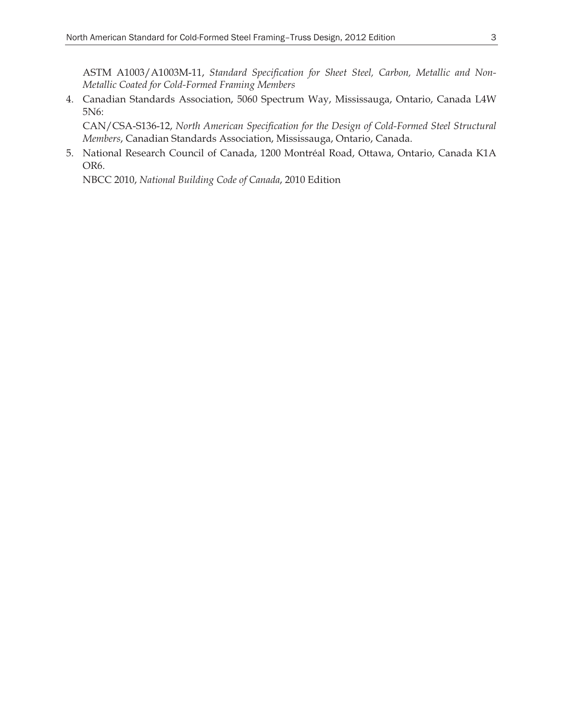ASTM A1003/A1003M-11, *Standard Specification for Sheet Steel, Carbon, Metallic and Non-Metallic Coated for Cold-Formed Framing Members*

4. Canadian Standards Association, 5060 Spectrum Way, Mississauga, Ontario, Canada L4W 5N6:

 CAN/CSA-S136-12, *North American Specification for the Design of Cold-Formed Steel Structural Members*, Canadian Standards Association, Mississauga, Ontario, Canada.

5. National Research Council of Canada, 1200 Montréal Road, Ottawa, Ontario, Canada K1A OR6.

NBCC 2010, *National Building Code of Canada*, 2010 Edition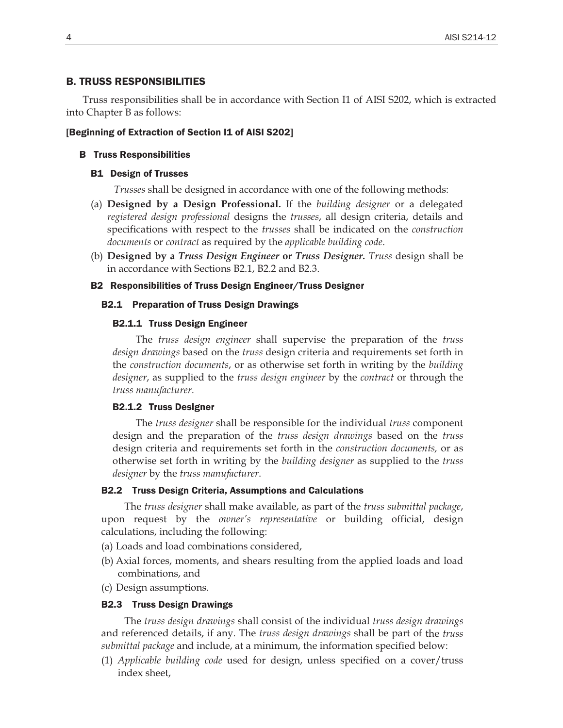# B. TRUSS RESPONSIBILITIES

Truss responsibilities shall be in accordance with Section I1 of AISI S202, which is extracted into Chapter B as follows:

## [Beginning of Extraction of Section I1 of AISI S202]

## B Truss Responsibilities

## B1 Design of Trusses

*Trusses* shall be designed in accordance with one of the following methods:

- (a) **Designed by a Design Professional.** If the *building designer* or a delegated *registered design professional* designs the *trusses*, all design criteria, details and specifications with respect to the *trusses* shall be indicated on the *construction documents* or *contract* as required by the *applicable building code*.
- (b) **Designed by a** *Truss Design Engineer* **or** *Truss Designer***.** *Truss* design shall be in accordance with Sections B2.1, B2.2 and B2.3.

## B2 Responsibilities of Truss Design Engineer/Truss Designer

## B2.1 Preparation of Truss Design Drawings

# B2.1.1 Truss Design Engineer

The *truss design engineer* shall supervise the preparation of the *truss design drawings* based on the *truss* design criteria and requirements set forth in the *construction documents*, or as otherwise set forth in writing by the *building designer*, as supplied to the *truss design engineer* by the *contract* or through the *truss manufacturer*.

## B2.1.2 Truss Designer

The *truss designer* shall be responsible for the individual *truss* component design and the preparation of the *truss design drawings* based on the *truss* design criteria and requirements set forth in the *construction documents,* or as otherwise set forth in writing by the *building designer* as supplied to the *truss designer* by the *truss manufacturer*.

## B2.2 Truss Design Criteria, Assumptions and Calculations

The *truss designer* shall make available, as part of the *truss submittal package*, upon request by the *owner's representative* or building official, design calculations, including the following:

- (a) Loads and load combinations considered,
- (b) Axial forces, moments, and shears resulting from the applied loads and load combinations, and
- (c) Design assumptions.

## B2.3 Truss Design Drawings

The *truss design drawings* shall consist of the individual *truss design drawings* and referenced details, if any. The *truss design drawings* shall be part of the *truss submittal package* and include, at a minimum, the information specified below:

(1) *Applicable building code* used for design, unless specified on a cover/truss index sheet,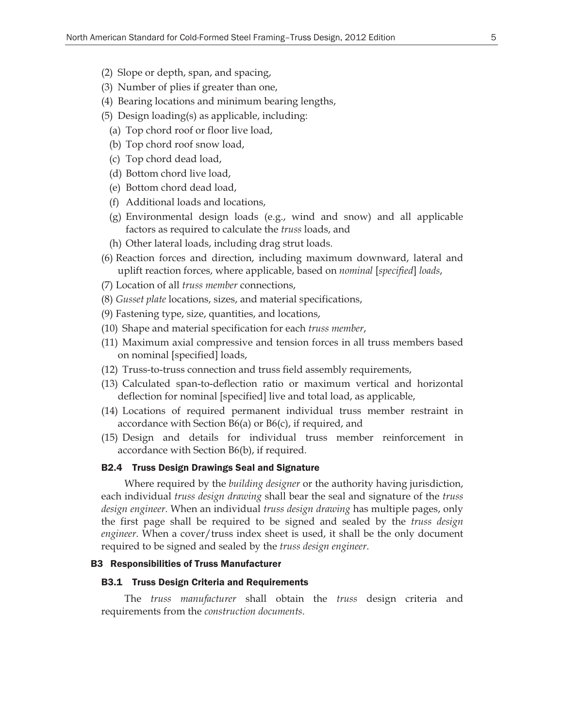- (2) Slope or depth, span, and spacing,
- (3) Number of plies if greater than one,
- (4) Bearing locations and minimum bearing lengths,
- (5) Design loading(s) as applicable, including:
	- (a) Top chord roof or floor live load,
	- (b) Top chord roof snow load,
	- (c) Top chord dead load,
	- (d) Bottom chord live load,
	- (e) Bottom chord dead load,
	- (f) Additional loads and locations,
	- (g) Environmental design loads (e.g., wind and snow) and all applicable factors as required to calculate the *truss* loads, and
	- (h) Other lateral loads, including drag strut loads.
- (6) Reaction forces and direction, including maximum downward, lateral and uplift reaction forces, where applicable, based on *nominal* [*specified*] *loads*,
- (7) Location of all *truss member* connections,
- (8) *Gusset plate* locations, sizes, and material specifications,
- (9) Fastening type, size, quantities, and locations,
- (10) Shape and material specification for each *truss member*,
- (11) Maximum axial compressive and tension forces in all truss members based on nominal [specified] loads,
- (12) Truss-to-truss connection and truss field assembly requirements,
- (13) Calculated span-to-deflection ratio or maximum vertical and horizontal deflection for nominal [specified] live and total load, as applicable,
- (14) Locations of required permanent individual truss member restraint in accordance with Section B6(a) or B6(c), if required, and
- (15) Design and details for individual truss member reinforcement in accordance with Section B6(b), if required.

## B2.4 Truss Design Drawings Seal and Signature

Where required by the *building designer* or the authority having jurisdiction, each individual *truss design drawing* shall bear the seal and signature of the *truss design engineer*. When an individual *truss design drawing* has multiple pages, only the first page shall be required to be signed and sealed by the *truss design engineer*. When a cover/truss index sheet is used, it shall be the only document required to be signed and sealed by the *truss design engineer*.

# B3 Responsibilities of Truss Manufacturer

## B3.1 Truss Design Criteria and Requirements

The *truss manufacturer* shall obtain the *truss* design criteria and requirements from the *construction documents*.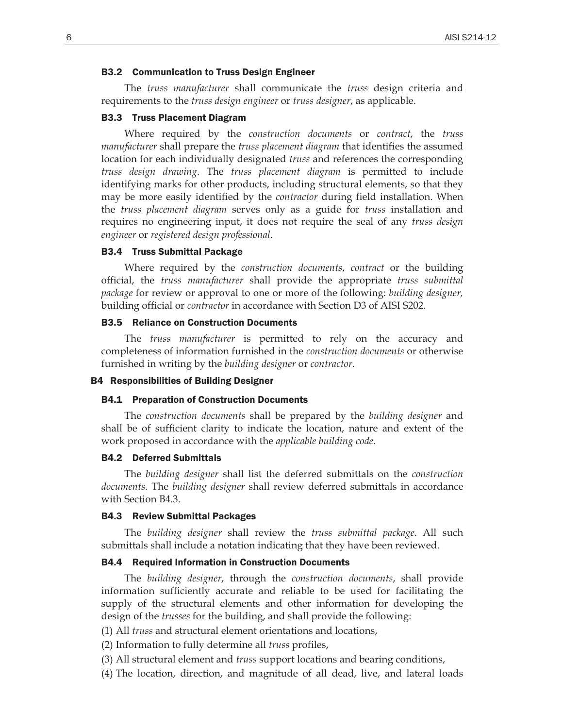## B3.2 Communication to Truss Design Engineer

The *truss manufacturer* shall communicate the *truss* design criteria and requirements to the *truss design engineer* or *truss designer*, as applicable.

### B3.3 Truss Placement Diagram

Where required by the *construction documents* or *contract*, the *truss manufacturer* shall prepare the *truss placement diagram* that identifies the assumed location for each individually designated *truss* and references the corresponding *truss design drawing*. The *truss placement diagram* is permitted to include identifying marks for other products, including structural elements, so that they may be more easily identified by the *contractor* during field installation. When the *truss placement diagram* serves only as a guide for *truss* installation and requires no engineering input, it does not require the seal of any *truss design engineer* or *registered design professional*.

## B3.4 Truss Submittal Package

Where required by the *construction documents*, *contract* or the building official, the *truss manufacturer* shall provide the appropriate *truss submittal package* for review or approval to one or more of the following: *building designer,* building official or *contractor* in accordance with Section D3 of AISI S202.

## B3.5 Reliance on Construction Documents

The *truss manufacturer* is permitted to rely on the accuracy and completeness of information furnished in the *construction documents* or otherwise furnished in writing by the *building designer* or *contractor*.

## B4 Responsibilities of Building Designer

#### B4.1 Preparation of Construction Documents

The *construction documents* shall be prepared by the *building designer* and shall be of sufficient clarity to indicate the location, nature and extent of the work proposed in accordance with the *applicable building code*.

## B4.2 Deferred Submittals

The *building designer* shall list the deferred submittals on the *construction documents*. The *building designer* shall review deferred submittals in accordance with Section B4.3.

## B4.3 Review Submittal Packages

The *building designer* shall review the *truss submittal package*. All such submittals shall include a notation indicating that they have been reviewed.

## B4.4 Required Information in Construction Documents

The *building designer*, through the *construction documents*, shall provide information sufficiently accurate and reliable to be used for facilitating the supply of the structural elements and other information for developing the design of the *trusses* for the building, and shall provide the following:

(1) All *truss* and structural element orientations and locations,

(2) Information to fully determine all *truss* profiles,

(3) All structural element and *truss* support locations and bearing conditions,

(4) The location, direction, and magnitude of all dead, live, and lateral loads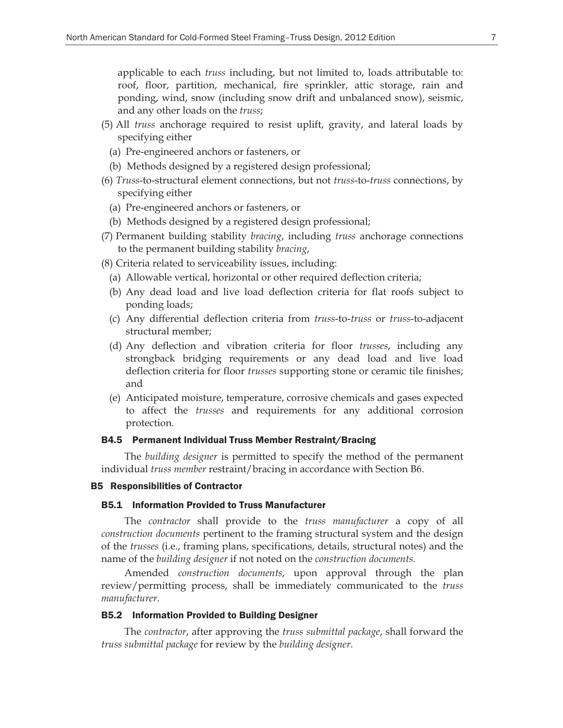applicable to each *truss* including, but not limited to, loads attributable to: roof, floor, partition, mechanical, fire sprinkler, attic storage, rain and ponding, wind, snow (including snow drift and unbalanced snow), seismic, and any other loads on the *truss*;

- (5) All *truss* anchorage required to resist uplift, gravity, and lateral loads by specifying either
	- (a) Pre-engineered anchors or fasteners, or
	- (b) Methods designed by a registered design professional;
- (6) *Truss*-to-structural element connections, but not *truss*-to-*truss* connections, by specifying either
	- (a) Pre-engineered anchors or fasteners, or
	- (b) Methods designed by a registered design professional;
- (7) Permanent building stability *bracing*, including *truss* anchorage connections to the permanent building stability *bracing*,
- (8) Criteria related to serviceability issues, including:
	- (a) Allowable vertical, horizontal or other required deflection criteria;
	- (b) Any dead load and live load deflection criteria for flat roofs subject to ponding loads;
	- (c) Any differential deflection criteria from *truss*-to-*truss* or *truss*-to-adjacent structural member;
	- (d) Any deflection and vibration criteria for floor *trusses*, including any strongback bridging requirements or any dead load and live load deflection criteria for floor *trusses* supporting stone or ceramic tile finishes; and
	- (e) Anticipated moisture, temperature, corrosive chemicals and gases expected to affect the *trusses* and requirements for any additional corrosion protection.

# B4.5 Permanent Individual Truss Member Restraint/Bracing

The *building designer* is permitted to specify the method of the permanent individual *truss member* restraint/bracing in accordance with Section B6.

# B5 Responsibilities of Contractor

# B5.1 Information Provided to Truss Manufacturer

The *contractor* shall provide to the *truss manufacturer* a copy of all *construction documents* pertinent to the framing structural system and the design of the *trusses* (i.e., framing plans, specifications, details, structural notes) and the name of the *building designer* if not noted on the *construction documents*.

Amended *construction documents*, upon approval through the plan review/permitting process, shall be immediately communicated to the *truss manufacturer*.

## B5.2 Information Provided to Building Designer

The *contractor*, after approving the *truss submittal package*, shall forward the *truss submittal package* for review by the *building designer*.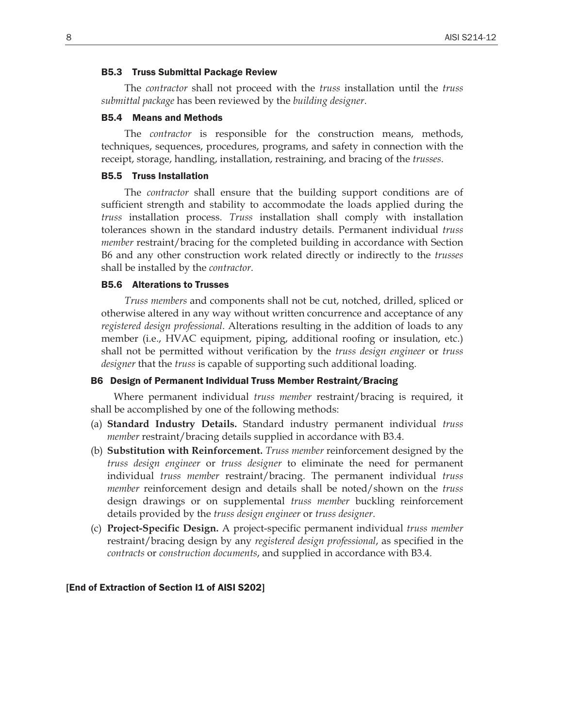## B5.3 Truss Submittal Package Review

The *contractor* shall not proceed with the *truss* installation until the *truss submittal package* has been reviewed by the *building designer*.

#### B5.4 Means and Methods

The *contractor* is responsible for the construction means, methods, techniques, sequences, procedures, programs, and safety in connection with the receipt, storage, handling, installation, restraining, and bracing of the *trusses*.

## B5.5 Truss Installation

The *contractor* shall ensure that the building support conditions are of sufficient strength and stability to accommodate the loads applied during the *truss* installation process. *Truss* installation shall comply with installation tolerances shown in the standard industry details. Permanent individual *truss member* restraint/bracing for the completed building in accordance with Section B6 and any other construction work related directly or indirectly to the *trusses* shall be installed by the *contractor*.

## B5.6 Alterations to Trusses

*Truss members* and components shall not be cut, notched, drilled, spliced or otherwise altered in any way without written concurrence and acceptance of any *registered design professional*. Alterations resulting in the addition of loads to any member (i.e., HVAC equipment, piping, additional roofing or insulation, etc.) shall not be permitted without verification by the *truss design engineer* or *truss designer* that the *truss* is capable of supporting such additional loading.

## B6 Design of Permanent Individual Truss Member Restraint/Bracing

Where permanent individual *truss member* restraint/bracing is required, it shall be accomplished by one of the following methods:

- (a) **Standard Industry Details.** Standard industry permanent individual *truss member* restraint/bracing details supplied in accordance with B3.4.
- (b) **Substitution with Reinforcement.** *Truss member* reinforcement designed by the *truss design engineer* or *truss designer* to eliminate the need for permanent individual *truss member* restraint/bracing. The permanent individual *truss member* reinforcement design and details shall be noted/shown on the *truss* design drawings or on supplemental *truss member* buckling reinforcement details provided by the *truss design engineer* or *truss designer*.
- (c) **Project-Specific Design.** A project-specific permanent individual *truss member* restraint/bracing design by any *registered design professional*, as specified in the *contracts* or *construction documents*, and supplied in accordance with B3.4*.*

## [End of Extraction of Section I1 of AISI S202]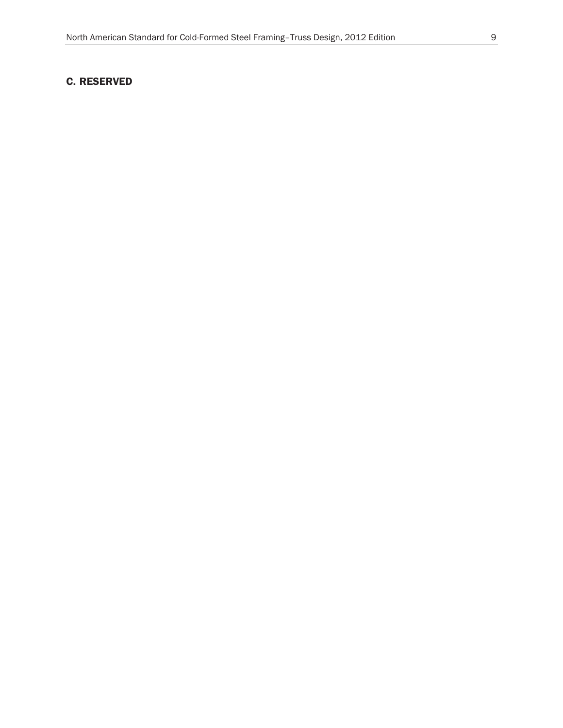# C. RESERVED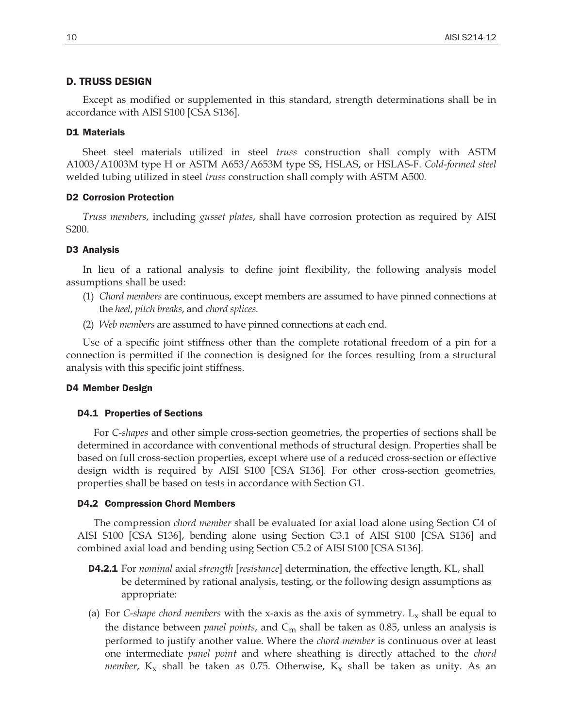## D. TRUSS DESIGN

Except as modified or supplemented in this standard, strength determinations shall be in accordance with AISI S100 [CSA S136].

# D1 Materials

Sheet steel materials utilized in steel *truss* construction shall comply with ASTM A1003/A1003M type H or ASTM A653/A653M type SS, HSLAS, or HSLAS-F. *Cold-formed steel*  welded tubing utilized in steel *truss* construction shall comply with ASTM A500*.* 

## D2 Corrosion Protection

*Truss members*, including *gusset plates*, shall have corrosion protection as required by AISI S200.

## D3 Analysis

In lieu of a rational analysis to define joint flexibility, the following analysis model assumptions shall be used:

- (1) *Chord members* are continuous, except members are assumed to have pinned connections at the *heel*, *pitch breaks*, and *chord splices*.
- (2) *Web members* are assumed to have pinned connections at each end.

Use of a specific joint stiffness other than the complete rotational freedom of a pin for a connection is permitted if the connection is designed for the forces resulting from a structural analysis with this specific joint stiffness.

## D4 Member Design

## D4.1 Properties of Sections

For *C-shapes* and other simple cross-section geometries, the properties of sections shall be determined in accordance with conventional methods of structural design. Properties shall be based on full cross-section properties, except where use of a reduced cross-section or effective design width is required by AISI S100 [CSA S136]*.* For other cross-section geometries*,* properties shall be based on tests in accordance with Section G1.

## D4.2 Compression Chord Members

The compression *chord member* shall be evaluated for axial load alone using Section C4 of AISI S100 [CSA S136], bending alone using Section C3.1 of AISI S100 [CSA S136] and combined axial load and bending using Section C5.2 of AISI S100 [CSA S136].

- D4.2.1 For *nominal* axial *strength* [*resistance*] determination, the effective length, KL, shall be determined by rational analysis, testing, or the following design assumptions as appropriate:
- (a) For *C-shape chord members* with the x-axis as the axis of symmetry.  $L_x$  shall be equal to the distance between *panel points*, and  $C_m$  shall be taken as 0.85, unless an analysis is performed to justify another value. Where the *chord member* is continuous over at least one intermediate *panel point* and where sheathing is directly attached to the *chord member*,  $K_x$  shall be taken as 0.75. Otherwise,  $K_x$  shall be taken as unity. As an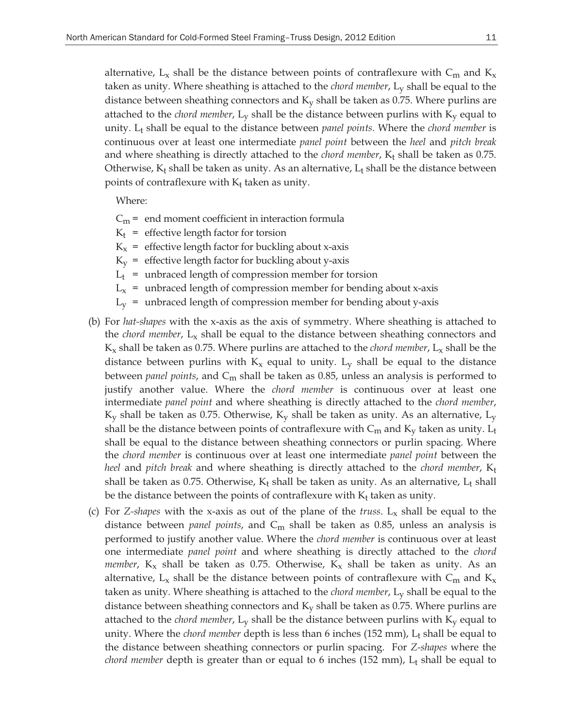alternative,  $L_x$  shall be the distance between points of contraflexure with  $C_m$  and  $K_x$ taken as unity. Where sheathing is attached to the *chord member*, L<sub>y</sub> shall be equal to the distance between sheathing connectors and  $K_v$  shall be taken as 0.75. Where purlins are attached to the *chord member*, Ly shall be the distance between purlins with Ky equal to unity. L<sub>t</sub> shall be equal to the distance between *panel points*. Where the *chord member* is continuous over at least one intermediate *panel point* between the *heel* and *pitch break* and where sheathing is directly attached to the *chord member*, K<sub>t</sub> shall be taken as 0.75. Otherwise,  $K_t$  shall be taken as unity. As an alternative,  $L_t$  shall be the distance between points of contraflexure with  $K_t$  taken as unity.

Where:

- $C_m$  = end moment coefficient in interaction formula
- $K_t$  = effective length factor for torsion
- $K_x$  = effective length factor for buckling about x-axis
- $K_v$  = effective length factor for buckling about y-axis
- $L_t$  = unbraced length of compression member for torsion
- $L_x$  = unbraced length of compression member for bending about x-axis
- $L_v$  = unbraced length of compression member for bending about y-axis
- (b) For *hat-shapes* with the x-axis as the axis of symmetry. Where sheathing is attached to the *chord member*,  $L_x$  shall be equal to the distance between sheathing connectors and  $K_x$  shall be taken as 0.75. Where purlins are attached to the *chord member*,  $L_x$  shall be the distance between purlins with  $K_x$  equal to unity. L<sub>y</sub> shall be equal to the distance between *panel points*, and C<sub>m</sub> shall be taken as 0.85, unless an analysis is performed to justify another value. Where the *chord member* is continuous over at least one intermediate *panel point* and where sheathing is directly attached to the *chord member*,  $K_v$  shall be taken as 0.75. Otherwise,  $K_v$  shall be taken as unity. As an alternative,  $L_v$ shall be the distance between points of contraflexure with  $C_m$  and  $K_v$  taken as unity.  $L_t$ shall be equal to the distance between sheathing connectors or purlin spacing. Where the *chord member* is continuous over at least one intermediate *panel point* between the *heel* and *pitch break* and where sheathing is directly attached to the *chord member*, K<sub>t</sub> shall be taken as 0.75. Otherwise,  $K_t$  shall be taken as unity. As an alternative,  $L_t$  shall be the distance between the points of contraflexure with  $K_t$  taken as unity.
- (c) For *Z-shapes* with the x-axis as out of the plane of the *truss*.  $L_x$  shall be equal to the distance between *panel points*, and C<sub>m</sub> shall be taken as 0.85, unless an analysis is performed to justify another value. Where the *chord member* is continuous over at least one intermediate *panel point* and where sheathing is directly attached to the *chord member*,  $K_x$  shall be taken as 0.75. Otherwise,  $K_x$  shall be taken as unity. As an alternative,  $L_x$  shall be the distance between points of contraflexure with  $C_m$  and  $K_x$ taken as unity. Where sheathing is attached to the *chord member*, Ly shall be equal to the distance between sheathing connectors and  $K_v$  shall be taken as 0.75. Where purlins are attached to the *chord member*, Ly shall be the distance between purlins with Ky equal to unity. Where the *chord member* depth is less than 6 inches (152 mm), L<sub>t</sub> shall be equal to the distance between sheathing connectors or purlin spacing. For *Z-shapes* where the *chord member* depth is greater than or equal to 6 inches (152 mm),  $L_t$  shall be equal to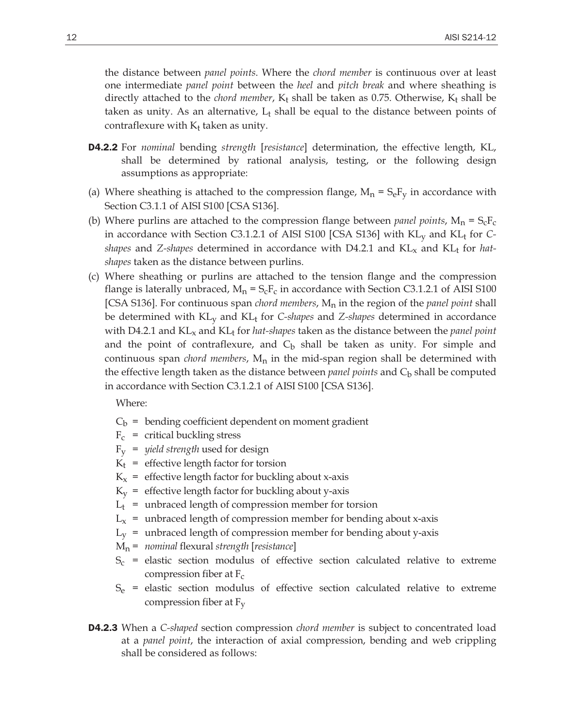the distance between *panel points*. Where the *chord member* is continuous over at least one intermediate *panel point* between the *heel* and *pitch break* and where sheathing is directly attached to the *chord member*,  $K_t$  shall be taken as 0.75. Otherwise,  $K_t$  shall be taken as unity. As an alternative,  $L_t$  shall be equal to the distance between points of contraflexure with  $K_t$  taken as unity.

- D4.2.2 For *nominal* bending *strength* [*resistance*] determination, the effective length, KL, shall be determined by rational analysis, testing, or the following design assumptions as appropriate:
- (a) Where sheathing is attached to the compression flange,  $M_n = S_eF_v$  in accordance with Section C3.1.1 of AISI S100 [CSA S136].
- (b) Where purlins are attached to the compression flange between *panel points*,  $M_n = S_cF_c$ in accordance with Section C3.1.2.1 of AISI S100 [CSA S136] with  $KL_v$  and  $KL_t$  for  $C$ shapes and *Z-shapes* determined in accordance with D4.2.1 and KL<sub>x</sub> and KL<sub>t</sub> for hat*shapes* taken as the distance between purlins.
- (c) Where sheathing or purlins are attached to the tension flange and the compression flange is laterally unbraced,  $M_n = S_cF_c$  in accordance with Section C3.1.2.1 of AISI S100 [CSA S136]. For continuous span *chord members*, Mn in the region of the *panel point* shall be determined with KL<sub>v</sub> and KL<sub>t</sub> for *C-shapes* and *Z-shapes* determined in accordance with D4.2.1 and KL<sub>x</sub> and KL<sub>t</sub> for *hat-shapes* taken as the distance between the *panel point* and the point of contraflexure, and  $C_b$  shall be taken as unity. For simple and continuous span *chord members*, M<sub>n</sub> in the mid-span region shall be determined with the effective length taken as the distance between *panel points* and C<sub>b</sub> shall be computed in accordance with Section C3.1.2.1 of AISI S100 [CSA S136].

Where:

- $C_b$  = bending coefficient dependent on moment gradient
- $F_c$  = critical buckling stress
- Fy = *yield strength* used for design
- $K_t$  = effective length factor for torsion
- $K_x$  = effective length factor for buckling about x-axis
- $K_v$  = effective length factor for buckling about y-axis
- $L_t$  = unbraced length of compression member for torsion
- $L_x$  = unbraced length of compression member for bending about x-axis
- $L_v$  = unbraced length of compression member for bending about y-axis
- Mn = *nominal* flexural *strength* [*resistance*]
- $S_c$  = elastic section modulus of effective section calculated relative to extreme compression fiber at  $F_c$
- $S_e$  = elastic section modulus of effective section calculated relative to extreme compression fiber at  $F_v$
- D4.2.3 When a *C-shaped* section compression *chord member* is subject to concentrated load at a *panel point*, the interaction of axial compression, bending and web crippling shall be considered as follows: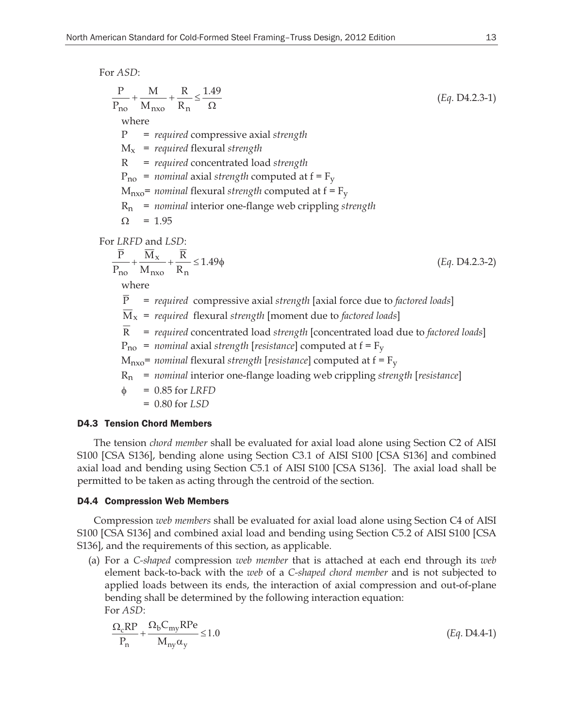For *ASD*:

$$
\frac{P}{P_{\text{no}}} + \frac{M}{M_{\text{nxo}}} + \frac{R}{R_{\text{n}}} \le \frac{1.49}{\Omega}
$$
 (*Eq. D4.2.3-1*)  
\nwhere  
\n $P = required$  compressive axial strength  
\n $M_x = required$  the overall strength  
\n $R = required$  concentrated load strength  
\n $P_{\text{no}} = nominal$  axial strength computed at  $f = F_y$   
\n $M_{\text{nxo}} = nominal$  the thermal strength computed at  $f = F_y$   
\n $R_n = nominal$  interior one-flange web cripping strength  
\n $\Omega = 1.95$   
\nFor *LRFD* and *LSD*:  
\n $\frac{\overline{P}}{P_{\text{no}}} + \frac{M_x}{M_{\text{nxo}}} + \frac{\overline{R}}{R_n} \le 1.49\phi$  (*Eq. D4.2.3-2*)  
\nwhere  
\n $\overline{P} = required$  compressive axial strength [axial force due to *factored loads*]  
\n $\overline{M}_x = required$  the overall strength [moment due to *factored loads*]  
\n $\overline{R}_x = required$  concentrated load strength [concentrated load due to *factored loads*]  
\n $P_{\text{no}} = nominal$  axial strength [resistance] computed at  $f = F_y$   
\n $M_{\text{nxo}} = nominal$  the thermal strength [resistance] computed at  $f = F_y$   
\n $R_n = nominal$  interval strength [resistance] computed at  $f = F_y$   
\n $R_n = nominal$  interior one-flange loading web cripping strength [resistance]  
\n $\phi = 0.85$  for *LRFD*  
\n= 0.80 for *LSD*

# D4.3 Tension Chord Members

The tension *chord member* shall be evaluated for axial load alone using Section C2 of AISI S100 [CSA S136], bending alone using Section C3.1 of AISI S100 [CSA S136] and combined axial load and bending using Section C5.1 of AISI S100 [CSA S136]. The axial load shall be permitted to be taken as acting through the centroid of the section.

# D4.4 Compression Web Members

Compression *web members* shall be evaluated for axial load alone using Section C4 of AISI S100 [CSA S136] and combined axial load and bending using Section C5.2 of AISI S100 [CSA S136], and the requirements of this section, as applicable.

(a) For a *C-shaped* compression *web member* that is attached at each end through its *web* element back-to-back with the *web* of a *C-shaped chord member* and is not subjected to applied loads between its ends, the interaction of axial compression and out-of-plane bending shall be determined by the following interaction equation: For *ASD*:

$$
\frac{\Omega_{\rm c}RP}{P_{\rm n}} + \frac{\Omega_{\rm b}C_{\rm my}RPe}{M_{\rm ny}\alpha_{\rm y}} \le 1.0
$$
 (Eq. D4.4-1)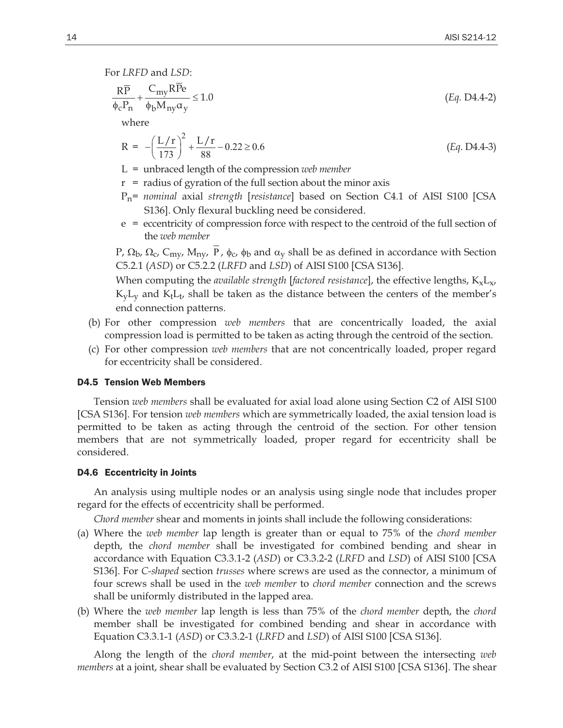For *LRFD* and *LSD*:

$$
\frac{\overline{RP}}{\phi_c P_n} + \frac{C_{my} \overline{RPe}}{\phi_b M_{ny} \alpha_y} \le 1.0
$$
 (Eq. D4.4-2)

where

$$
R = -\left(\frac{L/r}{173}\right)^2 + \frac{L/r}{88} - 0.22 \ge 0.6
$$
 (Eq. D4.4-3)

- L = unbraced length of the compression *web member*
- $r =$  radius of gyration of the full section about the minor axis
- Pn= *nominal* axial *strength* [*resistance*] based on Section C4.1 of AISI S100 [CSA S136]. Only flexural buckling need be considered.
- e = eccentricity of compression force with respect to the centroid of the full section of the *web member*

P,  $\Omega_b$ ,  $\Omega_c$ ,  $C_{\text{my}}$ ,  $M_{\text{ny}}$ ,  $\overline{P}$ ,  $\phi_c$ ,  $\phi_b$  and  $\alpha_y$  shall be as defined in accordance with Section C5.2.1 (*ASD*) or C5.2.2 (*LRFD* and *LSD*) of AISI S100 [CSA S136].

When computing the *available strength* [*factored resistance*], the effective lengths, K<sub>x</sub>L<sub>x</sub>,  $K_vL_v$  and  $K_tL_t$ , shall be taken as the distance between the centers of the member's end connection patterns.

- (b) For other compression *web members* that are concentrically loaded, the axial compression load is permitted to be taken as acting through the centroid of the section.
- (c) For other compression *web members* that are not concentrically loaded, proper regard for eccentricity shall be considered.

### D4.5 Tension Web Members

Tension *web members* shall be evaluated for axial load alone using Section C2 of AISI S100 [CSA S136]. For tension *web members* which are symmetrically loaded, the axial tension load is permitted to be taken as acting through the centroid of the section. For other tension members that are not symmetrically loaded, proper regard for eccentricity shall be considered.

## D4.6 Eccentricity in Joints

An analysis using multiple nodes or an analysis using single node that includes proper regard for the effects of eccentricity shall be performed.

*Chord member* shear and moments in joints shall include the following considerations:

- (a) Where the *web member* lap length is greater than or equal to 75% of the *chord member* depth, the *chord member* shall be investigated for combined bending and shear in accordance with Equation C3.3.1-2 (*ASD*) or C3.3.2-2 (*LRFD* and *LSD*) of AISI S100 [CSA S136]. For *C-shaped* section *trusses* where screws are used as the connector, a minimum of four screws shall be used in the *web member* to *chord member* connection and the screws shall be uniformly distributed in the lapped area.
- (b) Where the *web member* lap length is less than 75% of the *chord member* depth, the *chord* member shall be investigated for combined bending and shear in accordance with Equation C3.3.1-1 (*ASD*) or C3.3.2-1 (*LRFD* and *LSD*) of AISI S100 [CSA S136].

Along the length of the *chord member*, at the mid-point between the intersecting *web members* at a joint, shear shall be evaluated by Section C3.2 of AISI S100 [CSA S136]. The shear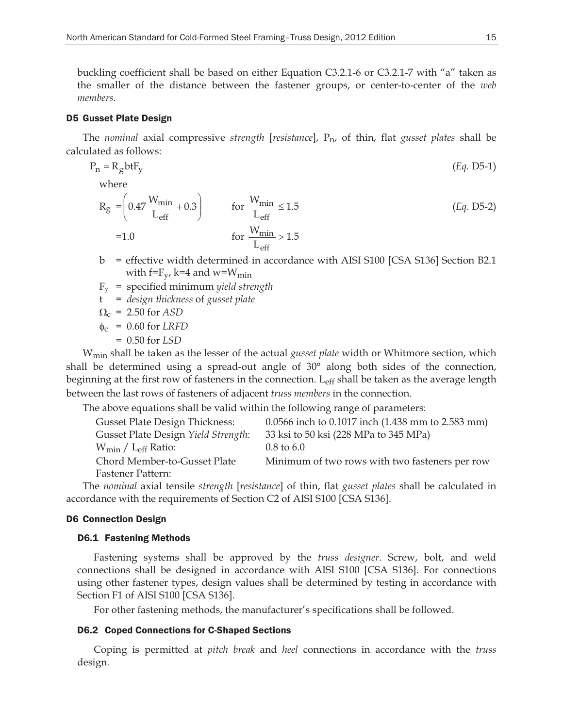buckling coefficient shall be based on either Equation C3.2.1-6 or C3.2.1-7 with "a" taken as the smaller of the distance between the fastener groups, or center-to-center of the *web members*.

## D5 Gusset Plate Design

The *nominal* axial compressive *strength* [*resistance*], Pn, of thin, flat *gusset plates* shall be calculated as follows:

$$
P_n = R_g btF_y \tag{Eq. D5-1}
$$

where

$$
R_g = \left(0.47 \frac{W_{\text{min}}}{L_{\text{eff}}} + 0.3\right) \qquad \text{for } \frac{W_{\text{min}}}{L_{\text{eff}}} \le 1.5 \tag{Eq. D5-2}
$$

$$
= 1.0 \qquad \text{for } \frac{W_{\text{min}}}{L_{\text{eff}}} > 1.5
$$

- b = effective width determined in accordance with AISI S100 [CSA S136] Section B2.1 with  $f=F_v$ , k=4 and w= $W_{min}$
- Fy = specified minimum *yield strength*
- t = *design thickness* of *gusset plate*
- $\Omega_c = 2.50$  for *ASD*

$$
\phi_{\rm C} = 0.60 \text{ for } L\text{RFD}
$$

= 0.50 for *LSD*

Wmin shall be taken as the lesser of the actual *gusset plate* width or Whitmore section, which shall be determined using a spread-out angle of 30° along both sides of the connection, beginning at the first row of fasteners in the connection. Leff shall be taken as the average length between the last rows of fasteners of adjacent *truss members* in the connection.

The above equations shall be valid within the following range of parameters:

| $0.0566$ inch to $0.1017$ inch $(1.438$ mm to $2.583$ mm) |
|-----------------------------------------------------------|
| 33 ksi to 50 ksi (228 MPa to 345 MPa)                     |
| $0.8 \text{ to } 6.0$                                     |
| Minimum of two rows with two fasteners per row            |
|                                                           |
|                                                           |

The *nominal* axial tensile *strength* [*resistance*] of thin, flat *gusset plates* shall be calculated in accordance with the requirements of Section C2 of AISI S100 [CSA S136].

## D6 Connection Design

#### D6.1 Fastening Methods

Fastening systems shall be approved by the *truss designer*. Screw, bolt, and weld connections shall be designed in accordance with AISI S100 [CSA S136]. For connections using other fastener types, design values shall be determined by testing in accordance with Section F1 of AISI S100 [CSA S136].

For other fastening methods, the manufacturer's specifications shall be followed.

# D6.2 Coped Connections for C-Shaped Sections

Coping is permitted at *pitch break* and *heel* connections in accordance with the *truss* design.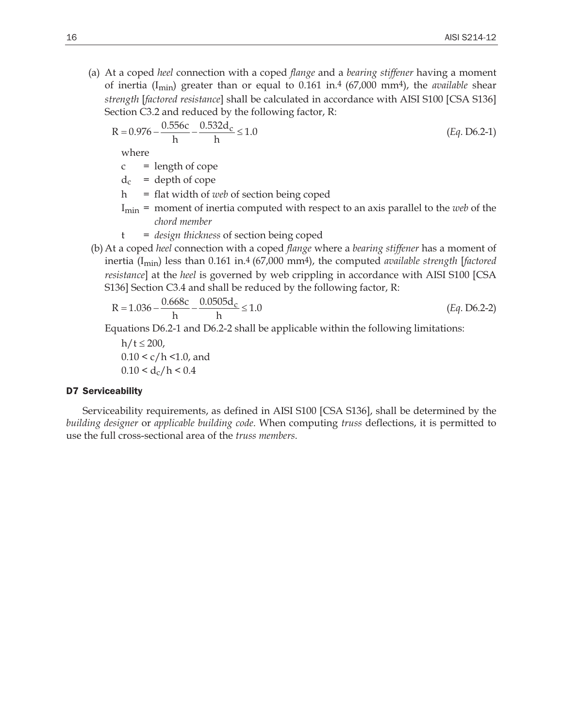(a) At a coped *heel* connection with a coped *flange* and a *bearing stiffener* having a moment of inertia (Imin) greater than or equal to 0.161 in.4 (67,000 mm4), the *available* shear *strength* [*factored resistance*] shall be calculated in accordance with AISI S100 [CSA S136] Section C3.2 and reduced by the following factor, R:

$$
R = 0.976 - \frac{0.556c}{h} - \frac{0.532d_c}{h} \le 1.0
$$
 (Eq. D6.2-1)

where

 $c = length of$ 

- $d_c$  = depth of cope
- h = flat width of *web* of section being coped
- Imin = moment of inertia computed with respect to an axis parallel to the *web* of the *chord member*
- t = *design thickness* of section being coped
- (b) At a coped *heel* connection with a coped *flange* where a *bearing stiffener* has a moment of inertia (Imin) less than 0.161 in.4 (67,000 mm4), the computed *available strength* [*factored resistance*] at the *heel* is governed by web crippling in accordance with AISI S100 [CSA S136] Section C3.4 and shall be reduced by the following factor, R:

$$
R = 1.036 - \frac{0.668c}{h} - \frac{0.0505d_c}{h} \le 1.0
$$
 (Eq. D6.2-2)

Equations D6.2-1 and D6.2-2 shall be applicable within the following limitations:

 $h/t \le 200$ ,  $0.10 < c/h < 1.0$ , and  $0.10 < d_c/h < 0.4$ 

## D7 Serviceability

Serviceability requirements, as defined in AISI S100 [CSA S136], shall be determined by the *building designer* or *applicable building code*. When computing *truss* deflections, it is permitted to use the full cross-sectional area of the *truss members*.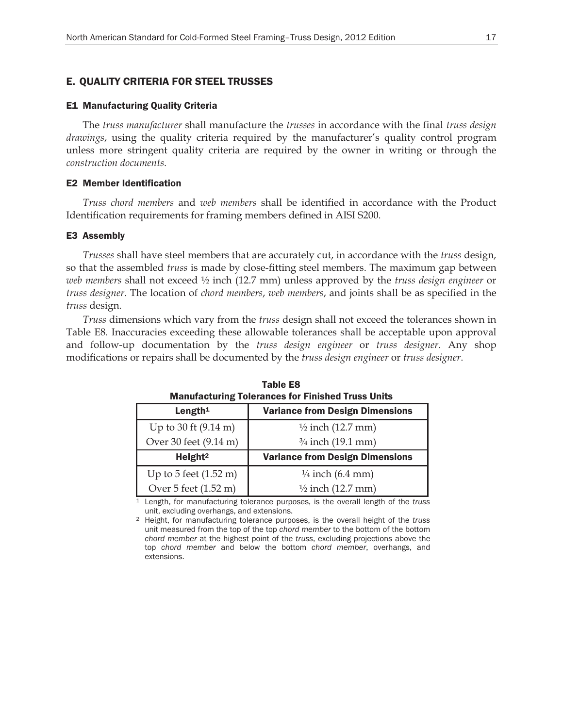## E1 Manufacturing Quality Criteria

The *truss manufacturer* shall manufacture the *trusses* in accordance with the final *truss design drawings*, using the quality criteria required by the manufacturer's quality control program unless more stringent quality criteria are required by the owner in writing or through the *construction documents*.

# E2 Member Identification

*Truss chord members* and *web members* shall be identified in accordance with the Product Identification requirements for framing members defined in AISI S200.

## E3 Assembly

*Trusses* shall have steel members that are accurately cut, in accordance with the *truss* design, so that the assembled *truss* is made by close-fitting steel members. The maximum gap between *web members* shall not exceed ½ inch (12.7 mm) unless approved by the *truss design engineer* or *truss designer*. The location of *chord members*, *web members*, and joints shall be as specified in the *truss* design.

*Truss* dimensions which vary from the *truss* design shall not exceed the tolerances shown in Table E8. Inaccuracies exceeding these allowable tolerances shall be acceptable upon approval and follow-up documentation by the *truss design engineer* or *truss designer*. Any shop modifications or repairs shall be documented by the *truss design engineer* or *truss designer*.

| Length <sup>1</sup>             | <b>Variance from Design Dimensions</b> |
|---------------------------------|----------------------------------------|
| Up to 30 ft $(9.14 \text{ m})$  | $\frac{1}{2}$ inch (12.7 mm)           |
| Over 30 feet (9.14 m)           | $\frac{3}{4}$ inch (19.1 mm)           |
| Height <sup>2</sup>             | <b>Variance from Design Dimensions</b> |
| Up to 5 feet $(1.52 \text{ m})$ | $\frac{1}{4}$ inch (6.4 mm)            |
|                                 |                                        |

Table E8 Manufacturing Tolerances for Finished Truss Units

1 Length, for manufacturing tolerance purposes, is the overall length of the *truss*

<sup>2</sup> Height, for manufacturing tolerance purposes, is the overall height of the *truss* unit measured from the top of the top *chord member* to the bottom of the bottom *chord member* at the highest point of the *truss*, excluding projections above the top *chord member* and below the bottom *chord member*, overhangs, and extensions.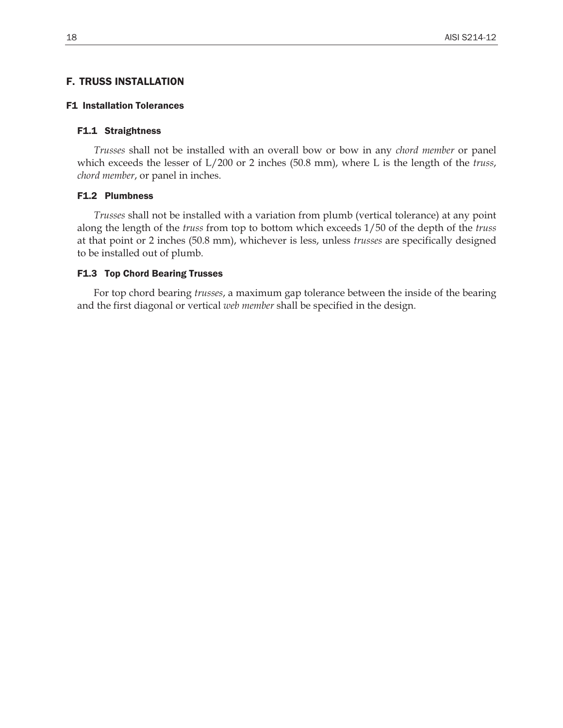# F. TRUSS INSTALLATION

# F1 Installation Tolerances

## F1.1 Straightness

*Trusses* shall not be installed with an overall bow or bow in any *chord member* or panel which exceeds the lesser of L/200 or 2 inches (50.8 mm), where L is the length of the *truss*, *chord member*, or panel in inches.

## F1.2 Plumbness

*Trusses* shall not be installed with a variation from plumb (vertical tolerance) at any point along the length of the *truss* from top to bottom which exceeds 1/50 of the depth of the *truss* at that point or 2 inches (50.8 mm), whichever is less, unless *trusses* are specifically designed to be installed out of plumb.

## F1.3 Top Chord Bearing Trusses

For top chord bearing *trusses*, a maximum gap tolerance between the inside of the bearing and the first diagonal or vertical *web member* shall be specified in the design.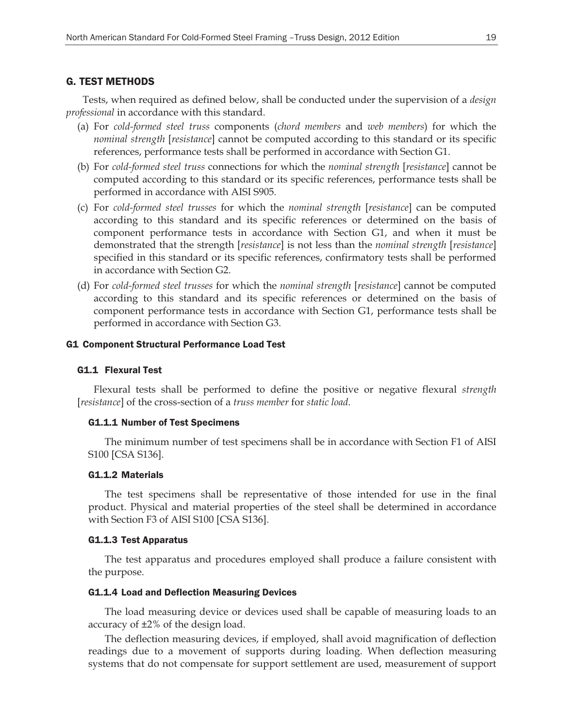# G. TEST METHODS

Tests, when required as defined below, shall be conducted under the supervision of a *design professional* in accordance with this standard.

- (a) For *cold-formed steel truss* components (*chord members* and *web members*) for which the *nominal strength* [*resistance*] cannot be computed according to this standard or its specific references, performance tests shall be performed in accordance with Section G1.
- (b) For *cold-formed steel truss* connections for which the *nominal strength* [*resistance*] cannot be computed according to this standard or its specific references, performance tests shall be performed in accordance with AISI S905*.*
- (c) For *cold-formed steel trusses* for which the *nominal strength* [*resistance*] can be computed according to this standard and its specific references or determined on the basis of component performance tests in accordance with Section G1, and when it must be demonstrated that the strength [*resistance*] is not less than the *nominal strength* [*resistance*] specified in this standard or its specific references, confirmatory tests shall be performed in accordance with Section G2.
- (d) For *cold-formed steel trusses* for which the *nominal strength* [*resistance*] cannot be computed according to this standard and its specific references or determined on the basis of component performance tests in accordance with Section G1, performance tests shall be performed in accordance with Section G3.

## G1 Component Structural Performance Load Test

# G1.1 Flexural Test

Flexural tests shall be performed to define the positive or negative flexural *strength* [*resistance*] of the cross-section of a *truss member* for *static load*.

## G1.1.1 Number of Test Specimens

The minimum number of test specimens shall be in accordance with Section F1 of AISI S100 [CSA S136].

# G1.1.2 Materials

The test specimens shall be representative of those intended for use in the final product. Physical and material properties of the steel shall be determined in accordance with Section F3 of AISI S100 [CSA S136].

## G1.1.3 Test Apparatus

The test apparatus and procedures employed shall produce a failure consistent with the purpose.

## G1.1.4 Load and Deflection Measuring Devices

The load measuring device or devices used shall be capable of measuring loads to an accuracy of ±2% of the design load.

The deflection measuring devices, if employed, shall avoid magnification of deflection readings due to a movement of supports during loading. When deflection measuring systems that do not compensate for support settlement are used, measurement of support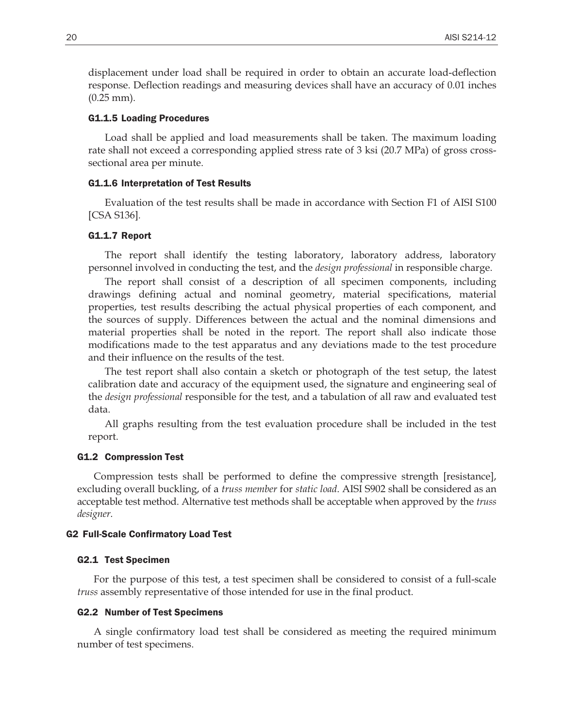displacement under load shall be required in order to obtain an accurate load-deflection response. Deflection readings and measuring devices shall have an accuracy of 0.01 inches (0.25 mm).

# G1.1.5 Loading Procedures

Load shall be applied and load measurements shall be taken. The maximum loading rate shall not exceed a corresponding applied stress rate of 3 ksi (20.7 MPa) of gross crosssectional area per minute.

## G1.1.6 Interpretation of Test Results

Evaluation of the test results shall be made in accordance with Section F1 of AISI S100 [CSA S136]*.*

## G1.1.7 Report

The report shall identify the testing laboratory, laboratory address, laboratory personnel involved in conducting the test, and the *design professional* in responsible charge.

The report shall consist of a description of all specimen components, including drawings defining actual and nominal geometry, material specifications, material properties, test results describing the actual physical properties of each component, and the sources of supply. Differences between the actual and the nominal dimensions and material properties shall be noted in the report. The report shall also indicate those modifications made to the test apparatus and any deviations made to the test procedure and their influence on the results of the test.

The test report shall also contain a sketch or photograph of the test setup, the latest calibration date and accuracy of the equipment used, the signature and engineering seal of the *design professional* responsible for the test, and a tabulation of all raw and evaluated test data.

All graphs resulting from the test evaluation procedure shall be included in the test report.

## G1.2 Compression Test

Compression tests shall be performed to define the compressive strength [resistance], excluding overall buckling, of a *truss member* for *static load*. AISI S902 shall be considered as an acceptable test method. Alternative test methods shall be acceptable when approved by the *truss designer*.

## G2 Full-Scale Confirmatory Load Test

## G2.1 Test Specimen

For the purpose of this test, a test specimen shall be considered to consist of a full-scale *truss* assembly representative of those intended for use in the final product.

## G2.2 Number of Test Specimens

A single confirmatory load test shall be considered as meeting the required minimum number of test specimens.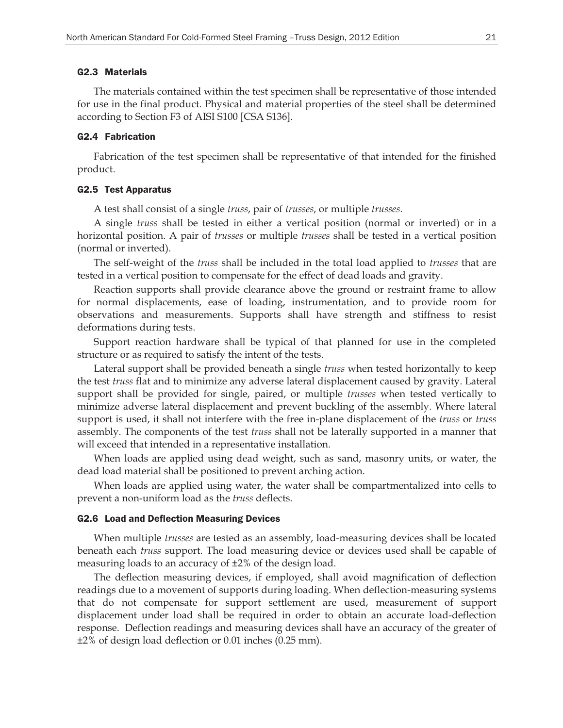# G2.3 Materials

The materials contained within the test specimen shall be representative of those intended for use in the final product. Physical and material properties of the steel shall be determined according to Section F3 of AISI S100 [CSA S136].

# G2.4 Fabrication

Fabrication of the test specimen shall be representative of that intended for the finished product.

## G2.5 Test Apparatus

A test shall consist of a single *truss*, pair of *trusses*, or multiple *trusses*.

A single *truss* shall be tested in either a vertical position (normal or inverted) or in a horizontal position. A pair of *trusses* or multiple *trusses* shall be tested in a vertical position (normal or inverted).

The self-weight of the *truss* shall be included in the total load applied to *trusses* that are tested in a vertical position to compensate for the effect of dead loads and gravity.

Reaction supports shall provide clearance above the ground or restraint frame to allow for normal displacements, ease of loading, instrumentation, and to provide room for observations and measurements. Supports shall have strength and stiffness to resist deformations during tests.

Support reaction hardware shall be typical of that planned for use in the completed structure or as required to satisfy the intent of the tests.

Lateral support shall be provided beneath a single *truss* when tested horizontally to keep the test *truss* flat and to minimize any adverse lateral displacement caused by gravity. Lateral support shall be provided for single, paired, or multiple *trusses* when tested vertically to minimize adverse lateral displacement and prevent buckling of the assembly. Where lateral support is used, it shall not interfere with the free in-plane displacement of the *truss* or *truss* assembly. The components of the test *truss* shall not be laterally supported in a manner that will exceed that intended in a representative installation.

When loads are applied using dead weight, such as sand, masonry units, or water, the dead load material shall be positioned to prevent arching action.

When loads are applied using water, the water shall be compartmentalized into cells to prevent a non-uniform load as the *truss* deflects.

### G2.6 Load and Deflection Measuring Devices

When multiple *trusses* are tested as an assembly, load-measuring devices shall be located beneath each *truss* support. The load measuring device or devices used shall be capable of measuring loads to an accuracy of ±2% of the design load.

The deflection measuring devices, if employed, shall avoid magnification of deflection readings due to a movement of supports during loading. When deflection-measuring systems that do not compensate for support settlement are used, measurement of support displacement under load shall be required in order to obtain an accurate load-deflection response. Deflection readings and measuring devices shall have an accuracy of the greater of ±2% of design load deflection or 0.01 inches (0.25 mm).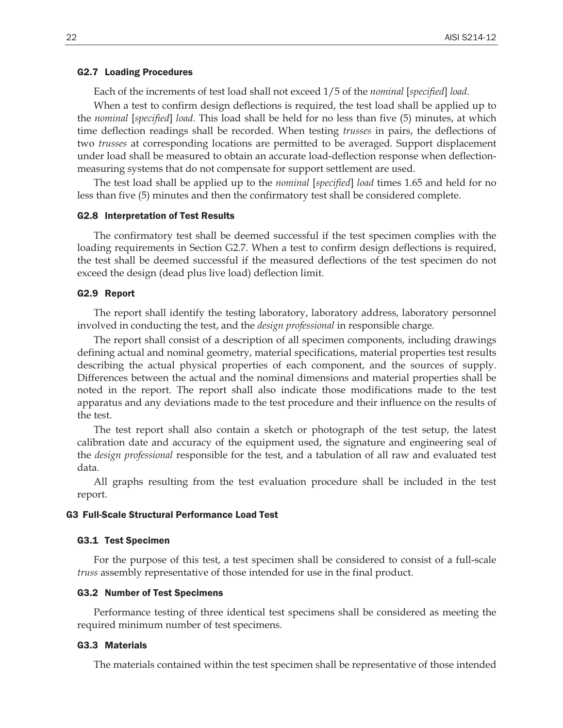## G2.7 Loading Procedures

Each of the increments of test load shall not exceed 1/5 of the *nominal* [*specified*] *load*.

When a test to confirm design deflections is required, the test load shall be applied up to the *nominal* [*specified*] *load*. This load shall be held for no less than five (5) minutes, at which time deflection readings shall be recorded. When testing *trusses* in pairs, the deflections of two *trusses* at corresponding locations are permitted to be averaged. Support displacement under load shall be measured to obtain an accurate load-deflection response when deflectionmeasuring systems that do not compensate for support settlement are used.

The test load shall be applied up to the *nominal* [*specified*] *load* times 1.65 and held for no less than five (5) minutes and then the confirmatory test shall be considered complete.

## G2.8 Interpretation of Test Results

The confirmatory test shall be deemed successful if the test specimen complies with the loading requirements in Section G2.7. When a test to confirm design deflections is required, the test shall be deemed successful if the measured deflections of the test specimen do not exceed the design (dead plus live load) deflection limit.

## G2.9 Report

The report shall identify the testing laboratory, laboratory address, laboratory personnel involved in conducting the test, and the *design professional* in responsible charge.

The report shall consist of a description of all specimen components, including drawings defining actual and nominal geometry, material specifications, material properties test results describing the actual physical properties of each component, and the sources of supply. Differences between the actual and the nominal dimensions and material properties shall be noted in the report. The report shall also indicate those modifications made to the test apparatus and any deviations made to the test procedure and their influence on the results of the test.

The test report shall also contain a sketch or photograph of the test setup, the latest calibration date and accuracy of the equipment used, the signature and engineering seal of the *design professional* responsible for the test, and a tabulation of all raw and evaluated test data.

All graphs resulting from the test evaluation procedure shall be included in the test report.

# G3 Full-Scale Structural Performance Load Test

## G3.1 Test Specimen

For the purpose of this test, a test specimen shall be considered to consist of a full-scale *truss* assembly representative of those intended for use in the final product.

## G3.2 Number of Test Specimens

Performance testing of three identical test specimens shall be considered as meeting the required minimum number of test specimens.

## G3.3 Materials

The materials contained within the test specimen shall be representative of those intended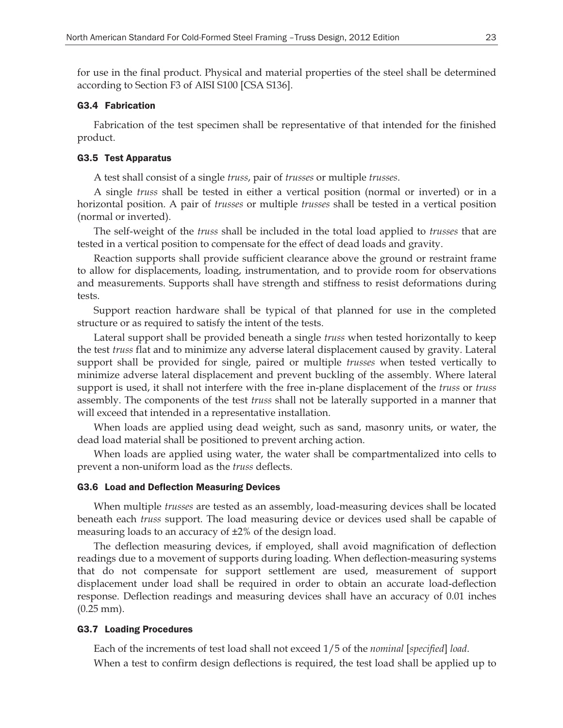for use in the final product. Physical and material properties of the steel shall be determined according to Section F3 of AISI S100 [CSA S136].

# G3.4 Fabrication

Fabrication of the test specimen shall be representative of that intended for the finished product.

## G3.5 Test Apparatus

A test shall consist of a single *truss*, pair of *trusses* or multiple *trusses*.

A single *truss* shall be tested in either a vertical position (normal or inverted) or in a horizontal position. A pair of *trusses* or multiple *trusses* shall be tested in a vertical position (normal or inverted).

The self-weight of the *truss* shall be included in the total load applied to *trusses* that are tested in a vertical position to compensate for the effect of dead loads and gravity.

Reaction supports shall provide sufficient clearance above the ground or restraint frame to allow for displacements, loading, instrumentation, and to provide room for observations and measurements. Supports shall have strength and stiffness to resist deformations during tests.

Support reaction hardware shall be typical of that planned for use in the completed structure or as required to satisfy the intent of the tests.

Lateral support shall be provided beneath a single *truss* when tested horizontally to keep the test *truss* flat and to minimize any adverse lateral displacement caused by gravity. Lateral support shall be provided for single, paired or multiple *trusses* when tested vertically to minimize adverse lateral displacement and prevent buckling of the assembly. Where lateral support is used, it shall not interfere with the free in-plane displacement of the *truss* or *truss* assembly. The components of the test *truss* shall not be laterally supported in a manner that will exceed that intended in a representative installation.

When loads are applied using dead weight, such as sand, masonry units, or water, the dead load material shall be positioned to prevent arching action.

When loads are applied using water, the water shall be compartmentalized into cells to prevent a non-uniform load as the *truss* deflects.

## G3.6 Load and Deflection Measuring Devices

When multiple *trusses* are tested as an assembly, load-measuring devices shall be located beneath each *truss* support. The load measuring device or devices used shall be capable of measuring loads to an accuracy of ±2% of the design load.

The deflection measuring devices, if employed, shall avoid magnification of deflection readings due to a movement of supports during loading. When deflection-measuring systems that do not compensate for support settlement are used, measurement of support displacement under load shall be required in order to obtain an accurate load-deflection response. Deflection readings and measuring devices shall have an accuracy of 0.01 inches  $(0.25 \text{ mm})$ .

#### G3.7 Loading Procedures

Each of the increments of test load shall not exceed 1/5 of the *nominal* [*specified*] *load*. When a test to confirm design deflections is required, the test load shall be applied up to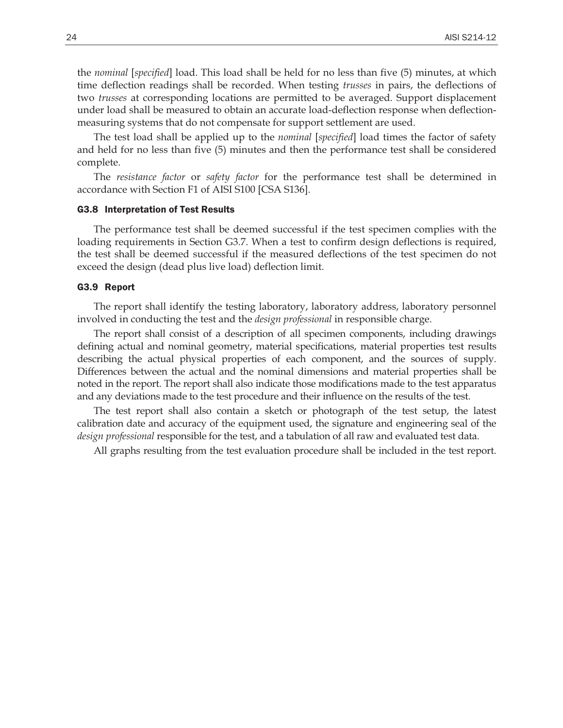the *nominal* [*specified*] load. This load shall be held for no less than five (5) minutes, at which time deflection readings shall be recorded. When testing *trusses* in pairs, the deflections of two *trusses* at corresponding locations are permitted to be averaged. Support displacement under load shall be measured to obtain an accurate load-deflection response when deflectionmeasuring systems that do not compensate for support settlement are used.

The test load shall be applied up to the *nominal* [*specified*] load times the factor of safety and held for no less than five (5) minutes and then the performance test shall be considered complete.

The *resistance factor* or *safety factor* for the performance test shall be determined in accordance with Section F1 of AISI S100 [CSA S136].

#### G3.8 Interpretation of Test Results

The performance test shall be deemed successful if the test specimen complies with the loading requirements in Section G3.7. When a test to confirm design deflections is required, the test shall be deemed successful if the measured deflections of the test specimen do not exceed the design (dead plus live load) deflection limit.

#### G3.9 Report

The report shall identify the testing laboratory, laboratory address, laboratory personnel involved in conducting the test and the *design professional* in responsible charge.

The report shall consist of a description of all specimen components, including drawings defining actual and nominal geometry, material specifications, material properties test results describing the actual physical properties of each component, and the sources of supply. Differences between the actual and the nominal dimensions and material properties shall be noted in the report. The report shall also indicate those modifications made to the test apparatus and any deviations made to the test procedure and their influence on the results of the test.

The test report shall also contain a sketch or photograph of the test setup, the latest calibration date and accuracy of the equipment used, the signature and engineering seal of the *design professional* responsible for the test, and a tabulation of all raw and evaluated test data.

All graphs resulting from the test evaluation procedure shall be included in the test report.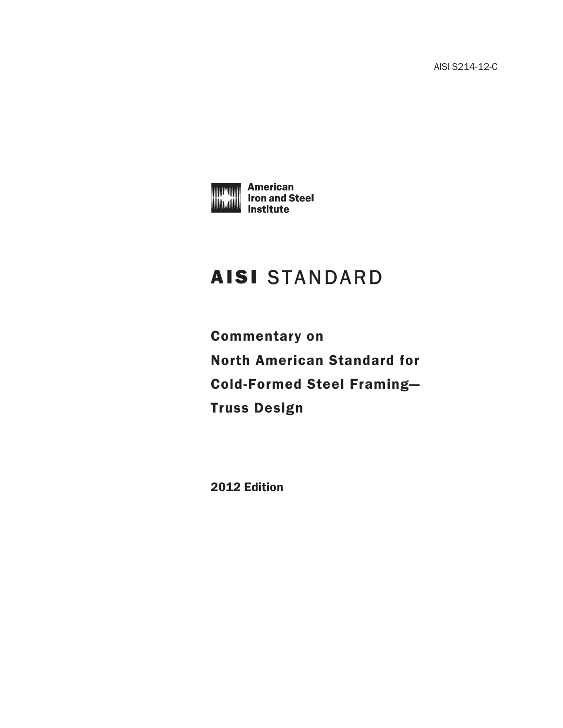AISI S214-12-C



# **AISI** STANDARD

Commentary on North American Standard for Cold-Formed Steel Framing— Truss Design

2012 Edition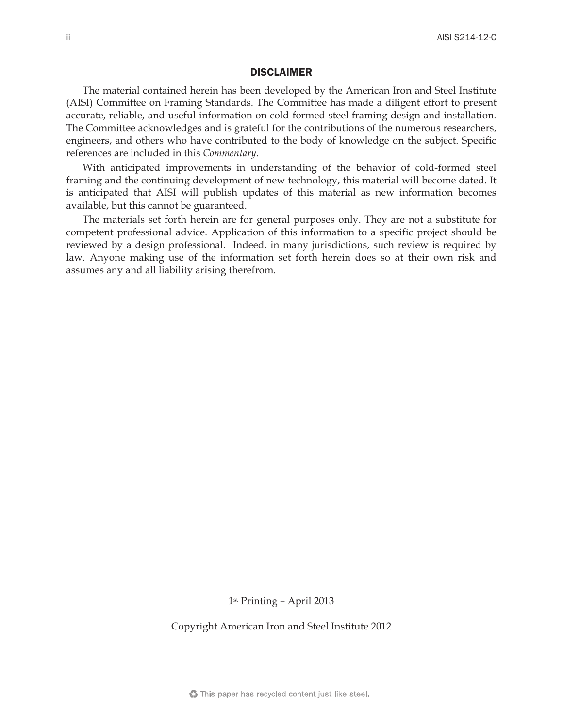# DISCLAIMER

The material contained herein has been developed by the American Iron and Steel Institute (AISI) Committee on Framing Standards. The Committee has made a diligent effort to present accurate, reliable, and useful information on cold-formed steel framing design and installation. The Committee acknowledges and is grateful for the contributions of the numerous researchers, engineers, and others who have contributed to the body of knowledge on the subject. Specific references are included in this *Commentary*.

With anticipated improvements in understanding of the behavior of cold-formed steel framing and the continuing development of new technology, this material will become dated. It is anticipated that AISI will publish updates of this material as new information becomes available, but this cannot be guaranteed.

The materials set forth herein are for general purposes only. They are not a substitute for competent professional advice. Application of this information to a specific project should be reviewed by a design professional. Indeed, in many jurisdictions, such review is required by law. Anyone making use of the information set forth herein does so at their own risk and assumes any and all liability arising therefrom.

1st Printing – April 2013

Copyright American Iron and Steel Institute 2012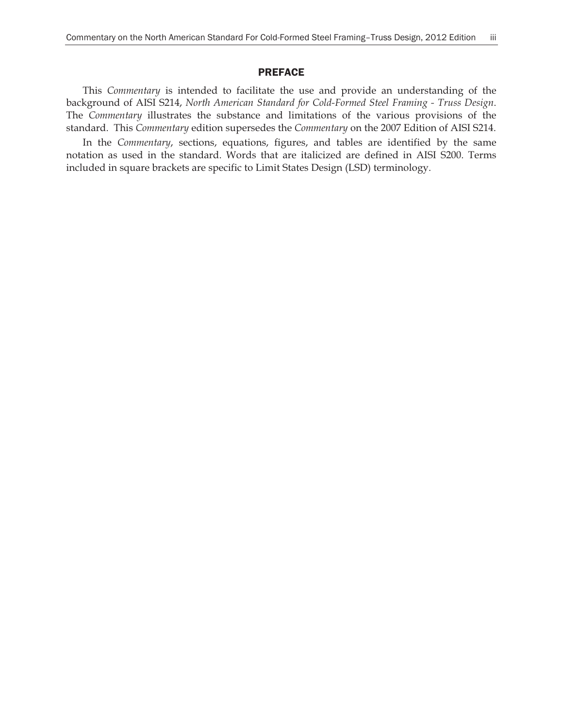# PREFACE

This *Commentary* is intended to facilitate the use and provide an understanding of the background of AISI S214, *North American Standard for Cold-Formed Steel Framing - Truss Design*. The *Commentary* illustrates the substance and limitations of the various provisions of the standard. This *Commentary* edition supersedes the *Commentary* on the 2007 Edition of AISI S214.

In the *Commentary*, sections, equations, figures, and tables are identified by the same notation as used in the standard. Words that are italicized are defined in AISI S200. Terms included in square brackets are specific to Limit States Design (LSD) terminology.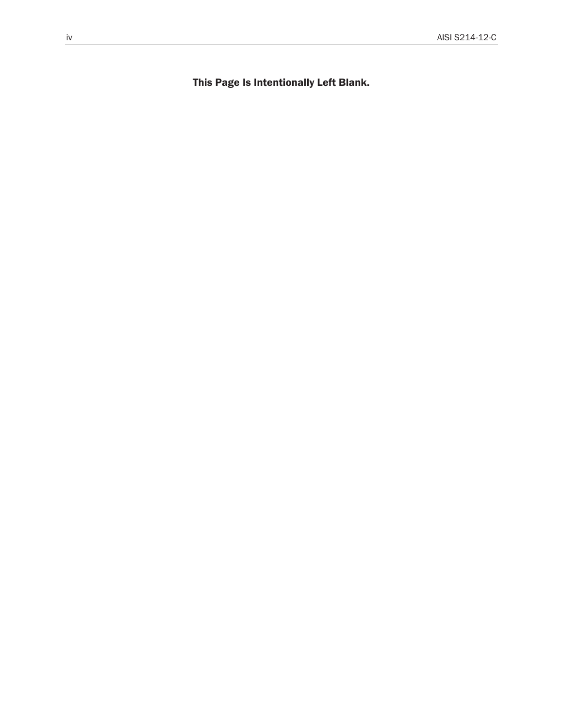This Page Is Intentionally Left Blank.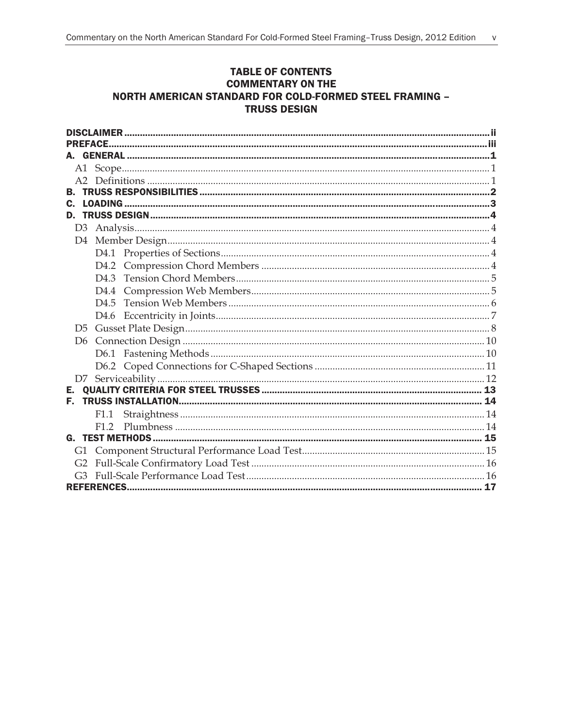# **TABLE OF CONTENTS COMMENTARY ON THE** NORTH AMERICAN STANDARD FOR COLD-FORMED STEEL FRAMING -**TRUSS DESIGN**

| <b>PRFFACE</b>   |  |
|------------------|--|
|                  |  |
|                  |  |
|                  |  |
|                  |  |
|                  |  |
|                  |  |
|                  |  |
|                  |  |
|                  |  |
| D <sub>4.2</sub> |  |
|                  |  |
|                  |  |
| $\Gamma$ D4.5    |  |
| D <sub>4.6</sub> |  |
|                  |  |
|                  |  |
|                  |  |
|                  |  |
|                  |  |
| F.               |  |
|                  |  |
| F <sub>1.1</sub> |  |
| F12              |  |
|                  |  |
| G1 -             |  |
|                  |  |
|                  |  |
|                  |  |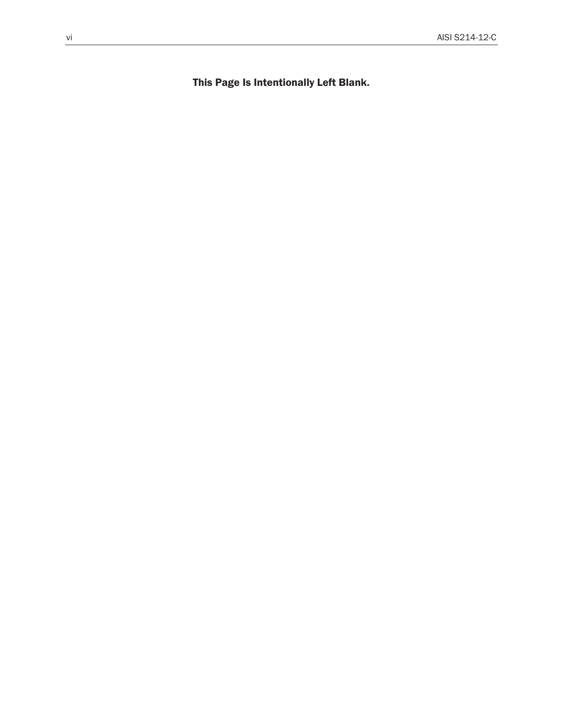This Page Is Intentionally Left Blank.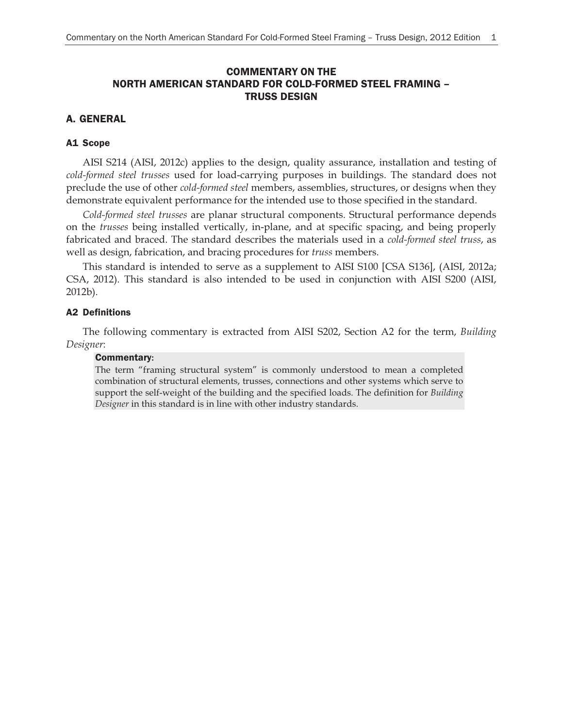# COMMENTARY ON THE NORTH AMERICAN STANDARD FOR COLD-FORMED STEEL FRAMING – TRUSS DESIGN

# A. GENERAL

# A1 Scope

AISI S214 (AISI, 2012c) applies to the design, quality assurance, installation and testing of *cold-formed steel trusses* used for load-carrying purposes in buildings. The standard does not preclude the use of other *cold-formed steel* members, assemblies, structures, or designs when they demonstrate equivalent performance for the intended use to those specified in the standard.

*Cold-formed steel trusses* are planar structural components. Structural performance depends on the *trusses* being installed vertically, in-plane, and at specific spacing, and being properly fabricated and braced. The standard describes the materials used in a *cold-formed steel truss*, as well as design, fabrication, and bracing procedures for *truss* members.

This standard is intended to serve as a supplement to AISI S100 [CSA S136], (AISI, 2012a; CSA, 2012). This standard is also intended to be used in conjunction with AISI S200 (AISI, 2012b).

# A2 Definitions

The following commentary is extracted from AISI S202, Section A2 for the term, *Building Designer*:

# Commentary**:**

The term "framing structural system" is commonly understood to mean a completed combination of structural elements, trusses, connections and other systems which serve to support the self-weight of the building and the specified loads. The definition for *Building Designer* in this standard is in line with other industry standards.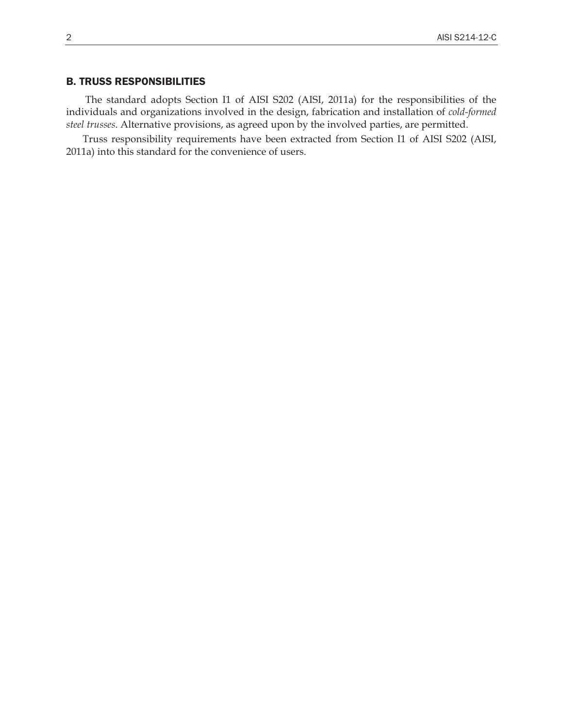# B. TRUSS RESPONSIBILITIES

 The standard adopts Section I1 of AISI S202 (AISI, 2011a) for the responsibilities of the individuals and organizations involved in the design, fabrication and installation of *cold-formed steel trusses*. Alternative provisions, as agreed upon by the involved parties, are permitted.

Truss responsibility requirements have been extracted from Section I1 of AISI S202 (AISI, 2011a) into this standard for the convenience of users.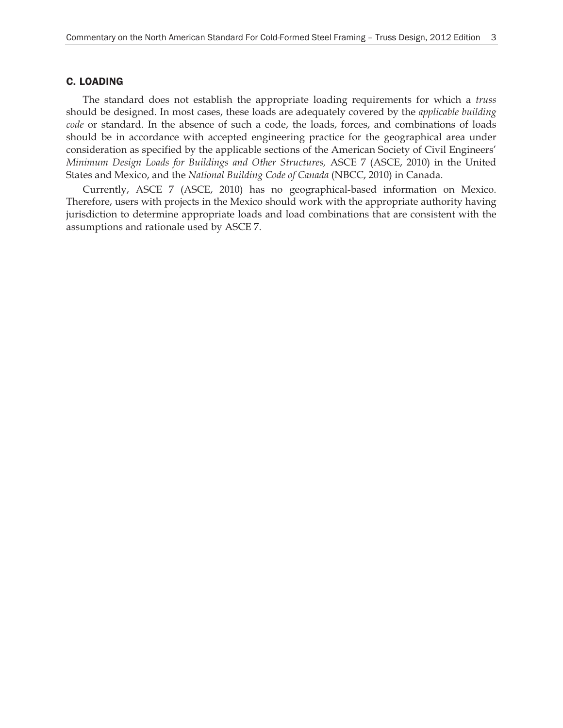# C. LOADING

The standard does not establish the appropriate loading requirements for which a *truss* should be designed. In most cases, these loads are adequately covered by the *applicable building code* or standard. In the absence of such a code, the loads, forces, and combinations of loads should be in accordance with accepted engineering practice for the geographical area under consideration as specified by the applicable sections of the American Society of Civil Engineers' *Minimum Design Loads for Buildings and Other Structures,* ASCE 7 (ASCE, 2010) in the United States and Mexico, and the *National Building Code of Canada* (NBCC, 2010) in Canada.

Currently, ASCE 7 (ASCE, 2010) has no geographical-based information on Mexico. Therefore, users with projects in the Mexico should work with the appropriate authority having jurisdiction to determine appropriate loads and load combinations that are consistent with the assumptions and rationale used by ASCE 7.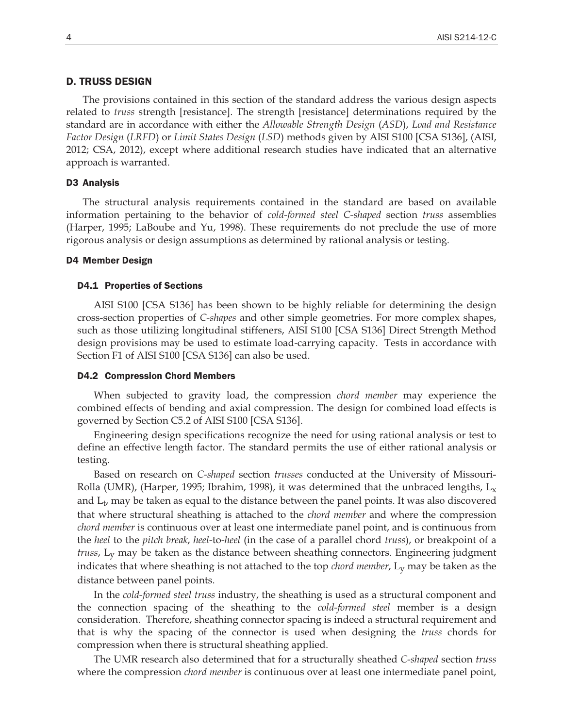# D. TRUSS DESIGN

The provisions contained in this section of the standard address the various design aspects related to *truss* strength [resistance]. The strength [resistance] determinations required by the standard are in accordance with either the *Allowable Strength Design* (*ASD*), *Load and Resistance Factor Design* (*LRFD*) or *Limit States Design* (*LSD*) methods given by AISI S100 [CSA S136], (AISI, 2012; CSA, 2012), except where additional research studies have indicated that an alternative approach is warranted.

# D3 Analysis

The structural analysis requirements contained in the standard are based on available information pertaining to the behavior of *cold-formed steel C-shaped* section *truss* assemblies (Harper, 1995; LaBoube and Yu, 1998). These requirements do not preclude the use of more rigorous analysis or design assumptions as determined by rational analysis or testing.

## D4 Member Design

## D4.1 Properties of Sections

AISI S100 [CSA S136] has been shown to be highly reliable for determining the design cross-section properties of *C-shapes* and other simple geometries. For more complex shapes, such as those utilizing longitudinal stiffeners, AISI S100 [CSA S136] Direct Strength Method design provisions may be used to estimate load-carrying capacity. Tests in accordance with Section F1 of AISI S100 [CSA S136] can also be used.

#### D4.2 Compression Chord Members

When subjected to gravity load, the compression *chord member* may experience the combined effects of bending and axial compression. The design for combined load effects is governed by Section C5.2 of AISI S100 [CSA S136].

Engineering design specifications recognize the need for using rational analysis or test to define an effective length factor. The standard permits the use of either rational analysis or testing.

Based on research on *C-shaped* section *trusses* conducted at the University of Missouri-Rolla (UMR), (Harper, 1995; Ibrahim, 1998), it was determined that the unbraced lengths,  $L_x$ and  $L_t$ , may be taken as equal to the distance between the panel points. It was also discovered that where structural sheathing is attached to the *chord member* and where the compression *chord member* is continuous over at least one intermediate panel point, and is continuous from the *heel* to the *pitch break*, *heel*-to-*heel* (in the case of a parallel chord *truss*), or breakpoint of a *truss*, Ly may be taken as the distance between sheathing connectors. Engineering judgment indicates that where sheathing is not attached to the top *chord member*, Ly may be taken as the distance between panel points.

In the *cold-formed steel truss* industry, the sheathing is used as a structural component and the connection spacing of the sheathing to the *cold-formed steel* member is a design consideration. Therefore, sheathing connector spacing is indeed a structural requirement and that is why the spacing of the connector is used when designing the *truss* chords for compression when there is structural sheathing applied.

The UMR research also determined that for a structurally sheathed *C-shaped* section *truss* where the compression *chord member* is continuous over at least one intermediate panel point,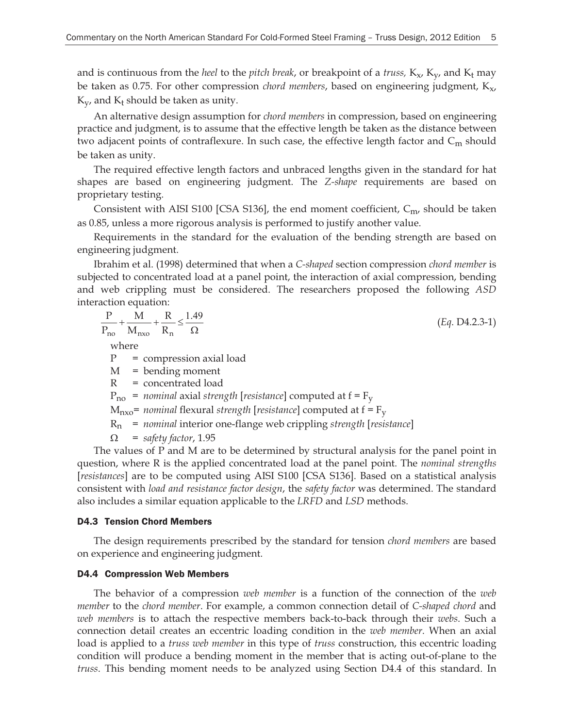and is continuous from the *heel* to the *pitch break*, or breakpoint of a *truss*,  $K_x$ ,  $K_y$ , and  $K_t$  may be taken as 0.75. For other compression *chord members*, based on engineering judgment, K<sub>x</sub>,  $K_v$ , and  $K_t$  should be taken as unity.

An alternative design assumption for *chord members* in compression, based on engineering practice and judgment, is to assume that the effective length be taken as the distance between two adjacent points of contraflexure. In such case, the effective length factor and  $C_m$  should be taken as unity.

The required effective length factors and unbraced lengths given in the standard for hat shapes are based on engineering judgment. The *Z-shape* requirements are based on proprietary testing.

Consistent with AISI S100 [CSA S136], the end moment coefficient,  $C_{\text{m}}$ , should be taken as 0.85, unless a more rigorous analysis is performed to justify another value.

Requirements in the standard for the evaluation of the bending strength are based on engineering judgment.

Ibrahim et al. (1998) determined that when a *C-shaped* section compression *chord member* is subjected to concentrated load at a panel point, the interaction of axial compression, bending and web crippling must be considered. The researchers proposed the following *ASD* interaction equation:

$$
\frac{P}{P_{no}} + \frac{M}{M_{nxo}} + \frac{R}{R_n} \le \frac{1.49}{\Omega}
$$
 (Eq. D4.2.3-1)  
\nwhere  
\n $P = \text{compression axial load}$   
\n $M = \text{ bending moment}$   
\n $R = \text{concentrated load}$   
\n $P_{no} = \text{nominal axial strength [resistance] computed at f = F_y}$   
\n $M_{nxo} = \text{nominal flexural strength [resistance] computed at f = F_y}$   
\n $R_n = \text{nominal interior one-flange web cirppling strength [resistance]}$   
\n $\Omega = \text{ safety factor, 1.95}$ 

The values of P and M are to be determined by structural analysis for the panel point in question, where R is the applied concentrated load at the panel point. The *nominal strengths* [*resistances*] are to be computed using AISI S100 [CSA S136]. Based on a statistical analysis consistent with *load and resistance factor design*, the *safety factor* was determined. The standard also includes a similar equation applicable to the *LRFD* and *LSD* methods.

## D4.3 Tension Chord Members

The design requirements prescribed by the standard for tension *chord members* are based on experience and engineering judgment.

# D4.4 Compression Web Members

The behavior of a compression *web member* is a function of the connection of the *web member* to the *chord member*. For example, a common connection detail of *C-shaped chord* and *web members* is to attach the respective members back-to-back through their *webs*. Such a connection detail creates an eccentric loading condition in the *web member*. When an axial load is applied to a *truss web member* in this type of *truss* construction, this eccentric loading condition will produce a bending moment in the member that is acting out-of-plane to the *truss*. This bending moment needs to be analyzed using Section D4.4 of this standard. In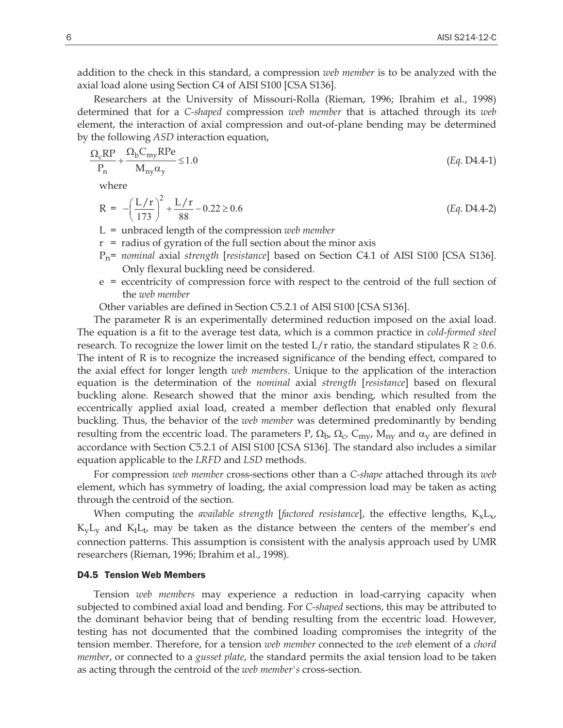addition to the check in this standard, a compression *web member* is to be analyzed with the axial load alone using Section C4 of AISI S100 [CSA S136].

Researchers at the University of Missouri-Rolla (Rieman, 1996; Ibrahim et al., 1998) determined that for a *C-shaped* compression *web member* that is attached through its *web* element, the interaction of axial compression and out-of-plane bending may be determined by the following *ASD* interaction equation,

$$
\frac{\Omega_{\rm c}RP}{P_{\rm n}} + \frac{\Omega_{\rm b}C_{\rm my}RP\rm e}{M_{\rm ny}\alpha_{\rm y}} \le 1.0\tag{Eq. D4.4-1}
$$

where

$$
R = -\left(\frac{L/r}{173}\right)^2 + \frac{L/r}{88} - 0.22 \ge 0.6
$$
 (Eq. D4.4-2)

- L = unbraced length of the compression *web member*
- r = radius of gyration of the full section about the minor axis
- Pn= *nominal* axial *strength* [*resistance*] based on Section C4.1 of AISI S100 [CSA S136]. Only flexural buckling need be considered.
- e = eccentricity of compression force with respect to the centroid of the full section of the *web member*

Other variables are defined in Section C5.2.1 of AISI S100 [CSA S136].

The parameter R is an experimentally determined reduction imposed on the axial load. The equation is a fit to the average test data, which is a common practice in *cold-formed steel*  research. To recognize the lower limit on the tested  $L/r$  ratio, the standard stipulates  $R \ge 0.6$ . The intent of R is to recognize the increased significance of the bending effect, compared to the axial effect for longer length *web members*. Unique to the application of the interaction equation is the determination of the *nominal* axial *strength* [*resistance*] based on flexural buckling alone. Research showed that the minor axis bending, which resulted from the eccentrically applied axial load, created a member deflection that enabled only flexural buckling. Thus, the behavior of the *web member* was determined predominantly by bending resulting from the eccentric load. The parameters P,  $\Omega_b$ ,  $\Omega_c$ ,  $C_{\text{my}}$ ,  $M_{\text{ny}}$  and  $\alpha_y$  are defined in accordance with Section C5.2.1 of AISI S100 [CSA S136]. The standard also includes a similar equation applicable to the *LRFD* and *LSD* methods.

For compression *web member* cross-sections other than a *C-shape* attached through its *web* element, which has symmetry of loading, the axial compression load may be taken as acting through the centroid of the section.

When computing the *available strength [factored resistance]*, the effective lengths, K<sub>x</sub>L<sub>x</sub>,  $K_vL_v$  and  $K_tL_t$  may be taken as the distance between the centers of the member's end connection patterns. This assumption is consistent with the analysis approach used by UMR researchers (Rieman, 1996; Ibrahim et al., 1998).

# D4.5 Tension Web Members

Tension *web members* may experience a reduction in load-carrying capacity when subjected to combined axial load and bending. For *C-shaped* sections, this may be attributed to the dominant behavior being that of bending resulting from the eccentric load. However, testing has not documented that the combined loading compromises the integrity of the tension member. Therefore, for a tension *web member* connected to the *web* element of a *chord member*, or connected to a *gusset plate*, the standard permits the axial tension load to be taken as acting through the centroid of the *web member's* cross-section.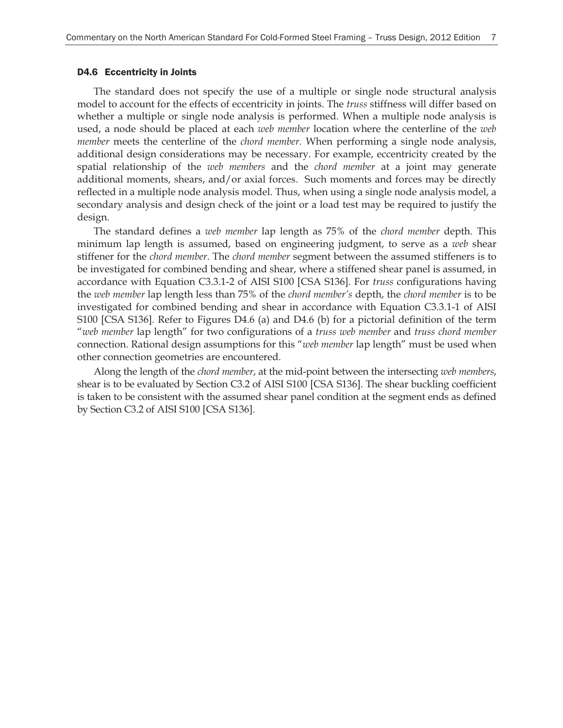## D4.6 Eccentricity in Joints

The standard does not specify the use of a multiple or single node structural analysis model to account for the effects of eccentricity in joints. The *truss* stiffness will differ based on whether a multiple or single node analysis is performed. When a multiple node analysis is used, a node should be placed at each *web member* location where the centerline of the *web member* meets the centerline of the *chord member*. When performing a single node analysis, additional design considerations may be necessary. For example, eccentricity created by the spatial relationship of the *web members* and the *chord member* at a joint may generate additional moments, shears, and/or axial forces. Such moments and forces may be directly reflected in a multiple node analysis model. Thus, when using a single node analysis model, a secondary analysis and design check of the joint or a load test may be required to justify the design.

The standard defines a *web member* lap length as 75% of the *chord member* depth. This minimum lap length is assumed, based on engineering judgment, to serve as a *web* shear stiffener for the *chord member*. The *chord member* segment between the assumed stiffeners is to be investigated for combined bending and shear, where a stiffened shear panel is assumed, in accordance with Equation C3.3.1-2 of AISI S100 [CSA S136]. For *truss* configurations having the *web member* lap length less than 75% of the *chord member's* depth, the *chord member* is to be investigated for combined bending and shear in accordance with Equation C3.3.1-1 of AISI S100 [CSA S136]*.* Refer to Figures D4.6 (a) and D4.6 (b) for a pictorial definition of the term "*web member* lap length" for two configurations of a *truss web member* and *truss chord member* connection. Rational design assumptions for this "*web member* lap length" must be used when other connection geometries are encountered.

Along the length of the *chord member*, at the mid-point between the intersecting *web members*, shear is to be evaluated by Section C3.2 of AISI S100 [CSA S136]. The shear buckling coefficient is taken to be consistent with the assumed shear panel condition at the segment ends as defined by Section C3.2 of AISI S100 [CSA S136].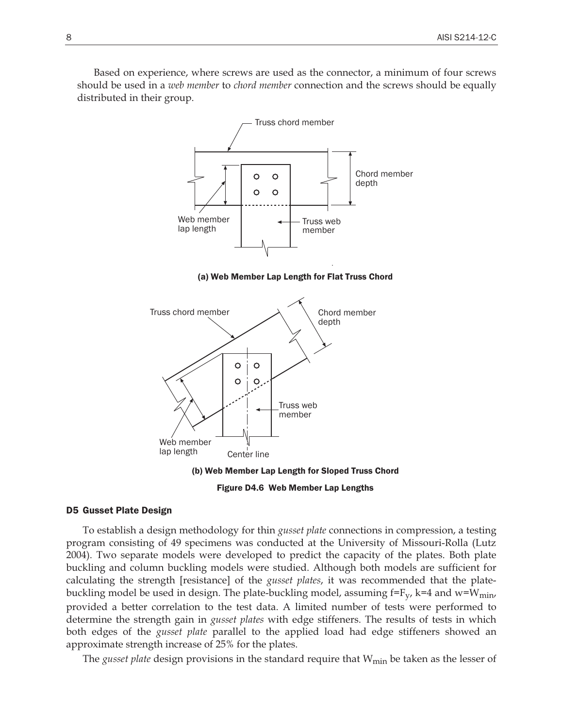Based on experience, where screws are used as the connector, a minimum of four screws should be used in a *web member* to *chord member* connection and the screws should be equally distributed in their group.



(a) Web Member Lap Length for Flat Truss Chord





Figure D4.6 Web Member Lap Lengths

## D5 Gusset Plate Design

To establish a design methodology for thin *gusset plate* connections in compression, a testing program consisting of 49 specimens was conducted at the University of Missouri-Rolla (Lutz 2004). Two separate models were developed to predict the capacity of the plates. Both plate buckling and column buckling models were studied. Although both models are sufficient for calculating the strength [resistance] of the *gusset plates*, it was recommended that the platebuckling model be used in design. The plate-buckling model, assuming  $f = F_y$ , k=4 and w= $W_{\text{min}}$ , provided a better correlation to the test data. A limited number of tests were performed to determine the strength gain in *gusset plates* with edge stiffeners. The results of tests in which both edges of the *gusset plate* parallel to the applied load had edge stiffeners showed an approximate strength increase of 25% for the plates.

The *gusset plate* design provisions in the standard require that Wmin be taken as the lesser of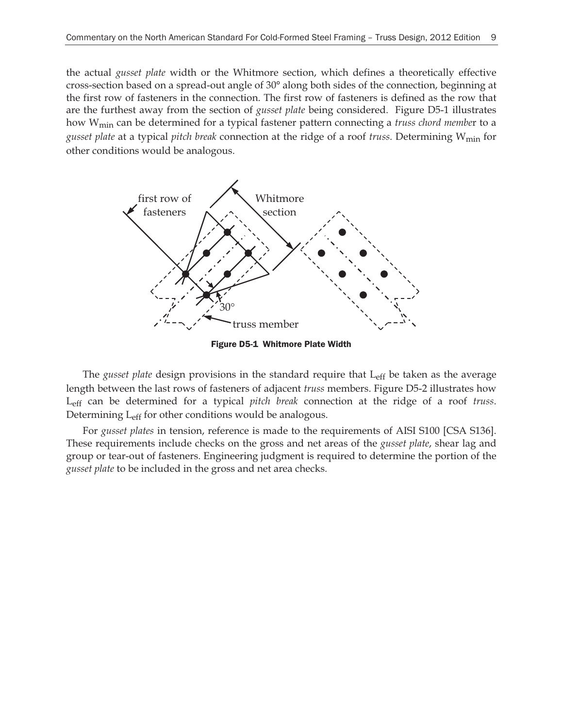the actual *gusset plate* width or the Whitmore section, which defines a theoretically effective cross-section based on a spread-out angle of 30° along both sides of the connection, beginning at the first row of fasteners in the connection. The first row of fasteners is defined as the row that are the furthest away from the section of *gusset plate* being considered. Figure D5-1 illustrates how Wmin can be determined for a typical fastener pattern connecting a *truss chord membe*r to a *gusset plate* at a typical *pitch break* connection at the ridge of a roof *truss*. Determining Wmin for other conditions would be analogous.



Figure D5-1 Whitmore Plate Width

The *gusset plate* design provisions in the standard require that Leff be taken as the average length between the last rows of fasteners of adjacent *truss* members. Figure D5-2 illustrates how Leff can be determined for a typical *pitch break* connection at the ridge of a roof *truss*. Determining Leff for other conditions would be analogous.

For *gusset plates* in tension, reference is made to the requirements of AISI S100 [CSA S136]. These requirements include checks on the gross and net areas of the *gusset plate*, shear lag and group or tear-out of fasteners. Engineering judgment is required to determine the portion of the *gusset plate* to be included in the gross and net area checks.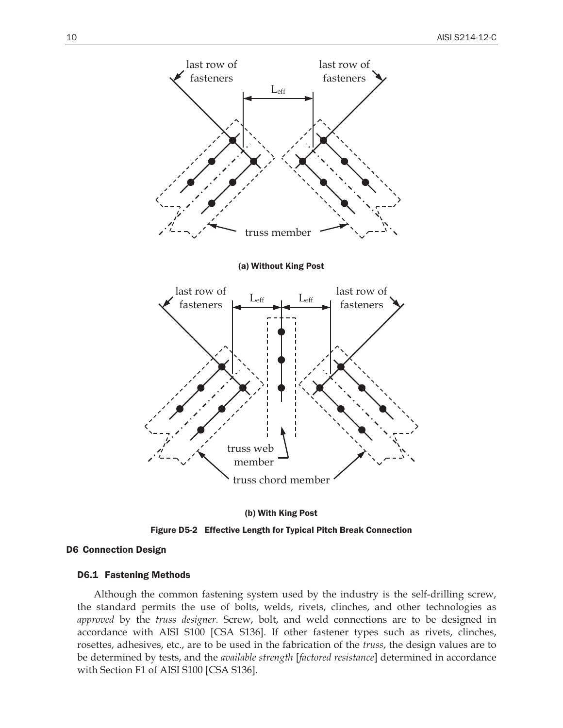

#### (b) With King Post

Figure D5-2 Effective Length for Typical Pitch Break Connection

# D6 Connection Design

## D6.1 Fastening Methods

Although the common fastening system used by the industry is the self-drilling screw, the standard permits the use of bolts, welds, rivets, clinches, and other technologies as *approved* by the *truss designer*. Screw, bolt, and weld connections are to be designed in accordance with AISI S100 [CSA S136]. If other fastener types such as rivets, clinches, rosettes, adhesives, etc., are to be used in the fabrication of the *truss*, the design values are to be determined by tests, and the *available strength* [*factored resistance*] determined in accordance with Section F1 of AISI S100 [CSA S136]*.*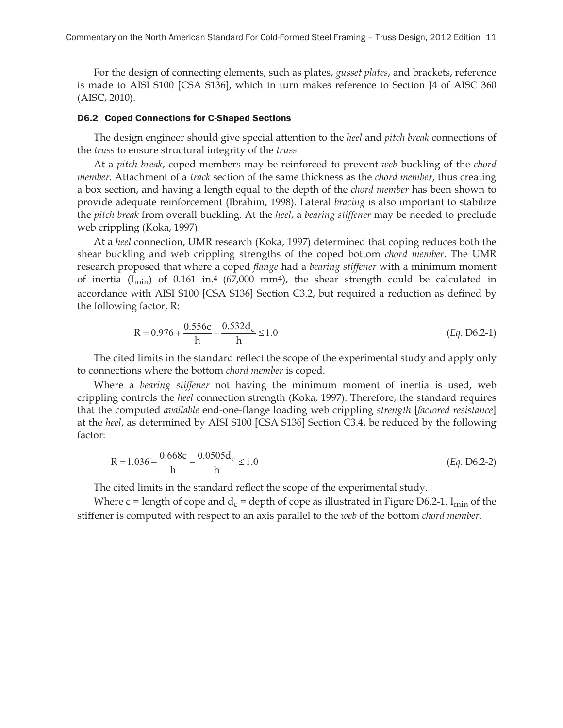For the design of connecting elements, such as plates, *gusset plates*, and brackets, reference is made to AISI S100 [CSA S136], which in turn makes reference to Section J4 of AISC 360 (AISC, 2010).

## D6.2 Coped Connections for C-Shaped Sections

The design engineer should give special attention to the *heel* and *pitch break* connections of the *truss* to ensure structural integrity of the *truss*.

At a *pitch break*, coped members may be reinforced to prevent *web* buckling of the *chord member*. Attachment of a *track* section of the same thickness as the *chord member*, thus creating a box section, and having a length equal to the depth of the *chord member* has been shown to provide adequate reinforcement (Ibrahim, 1998). Lateral *bracing* is also important to stabilize the *pitch break* from overall buckling. At the *heel*, a *bearing stiffener* may be needed to preclude web crippling (Koka, 1997).

At a *heel* connection, UMR research (Koka, 1997) determined that coping reduces both the shear buckling and web crippling strengths of the coped bottom *chord member*. The UMR research proposed that where a coped *flange* had a *bearing stiffener* with a minimum moment of inertia ( $I_{\text{min}}$ ) of 0.161 in.<sup>4</sup> (67,000 mm<sup>4</sup>), the shear strength could be calculated in accordance with AISI S100 [CSA S136] Section C3.2, but required a reduction as defined by the following factor, R:

$$
R = 0.976 + \frac{0.556c}{h} - \frac{0.532d_c}{h} \le 1.0
$$
 (Eq. D6.2-1)

The cited limits in the standard reflect the scope of the experimental study and apply only to connections where the bottom *chord member* is coped.

Where a *bearing stiffener* not having the minimum moment of inertia is used, web crippling controls the *heel* connection strength (Koka, 1997). Therefore, the standard requires that the computed *available* end-one-flange loading web crippling *strength* [*factored resistance*] at the *heel*, as determined by AISI S100 [CSA S136] Section C3.4, be reduced by the following factor:

$$
R = 1.036 + \frac{0.668c}{h} - \frac{0.0505d_c}{h} \le 1.0
$$
 (Eq. D6.2-2)

The cited limits in the standard reflect the scope of the experimental study.

Where c = length of cope and  $d_c$  = depth of cope as illustrated in Figure D6.2-1. I<sub>min</sub> of the stiffener is computed with respect to an axis parallel to the *web* of the bottom *chord member*.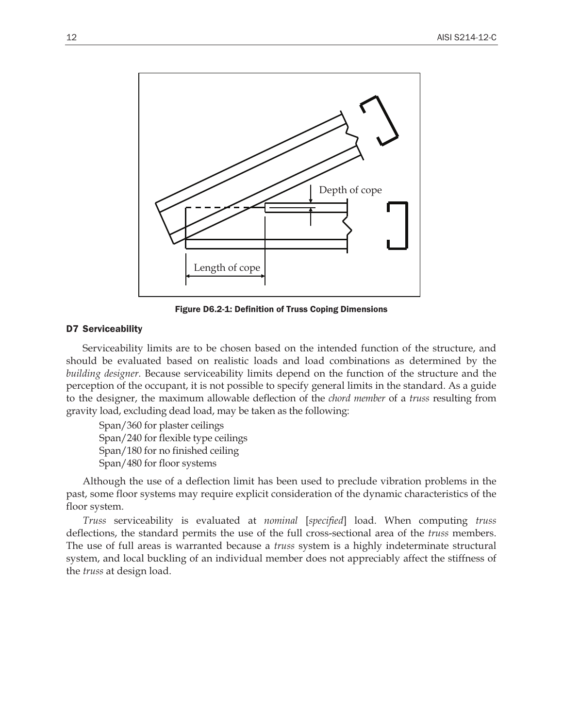

Figure D6.2-1: Definition of Truss Coping Dimensions

# D7 Serviceability

Serviceability limits are to be chosen based on the intended function of the structure, and should be evaluated based on realistic loads and load combinations as determined by the *building designer*. Because serviceability limits depend on the function of the structure and the perception of the occupant, it is not possible to specify general limits in the standard. As a guide to the designer, the maximum allowable deflection of the *chord member* of a *truss* resulting from gravity load, excluding dead load, may be taken as the following:

Span/360 for plaster ceilings Span/240 for flexible type ceilings Span/180 for no finished ceiling Span/480 for floor systems

Although the use of a deflection limit has been used to preclude vibration problems in the past, some floor systems may require explicit consideration of the dynamic characteristics of the floor system.

*Truss* serviceability is evaluated at *nominal* [*specified*] load. When computing *truss* deflections, the standard permits the use of the full cross-sectional area of the *truss* members. The use of full areas is warranted because a *truss* system is a highly indeterminate structural system, and local buckling of an individual member does not appreciably affect the stiffness of the *truss* at design load.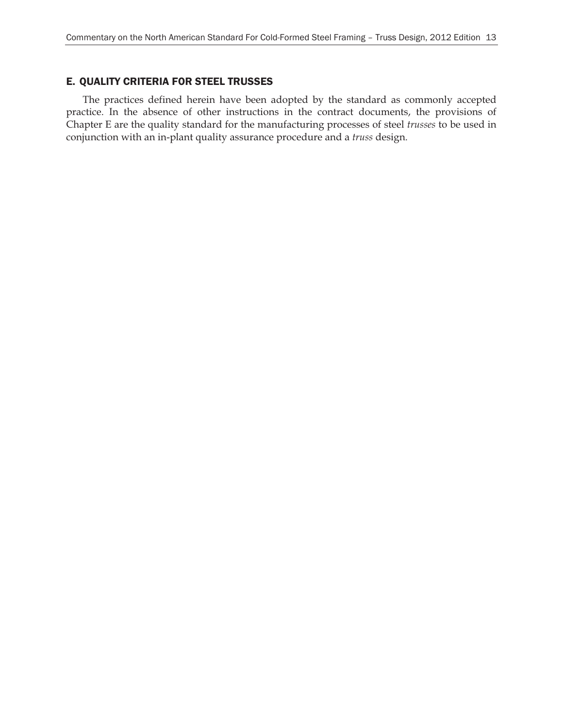# E. QUALITY CRITERIA FOR STEEL TRUSSES

The practices defined herein have been adopted by the standard as commonly accepted practice. In the absence of other instructions in the contract documents, the provisions of Chapter E are the quality standard for the manufacturing processes of steel *trusses* to be used in conjunction with an in-plant quality assurance procedure and a *truss* design.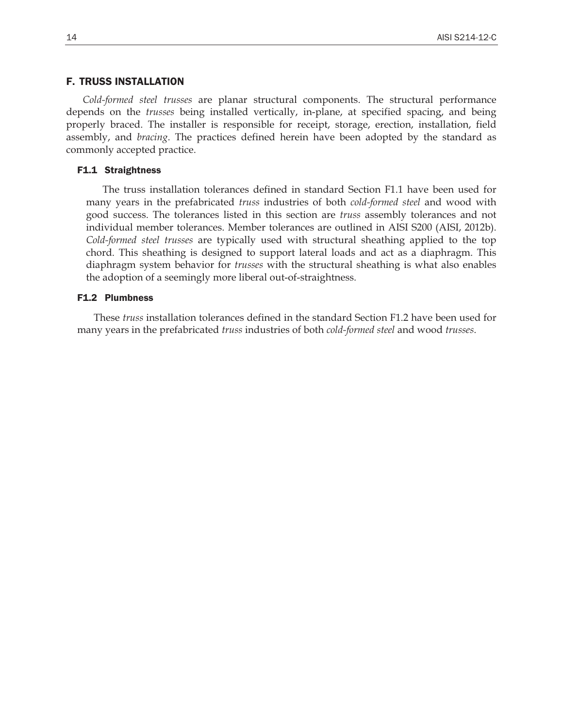# F. TRUSS INSTALLATION

*Cold-formed steel trusses* are planar structural components. The structural performance depends on the *trusses* being installed vertically, in-plane, at specified spacing, and being properly braced. The installer is responsible for receipt, storage, erection, installation, field assembly, and *bracing*. The practices defined herein have been adopted by the standard as commonly accepted practice.

# F1.1 Straightness

The truss installation tolerances defined in standard Section F1.1 have been used for many years in the prefabricated *truss* industries of both *cold-formed steel* and wood with good success. The tolerances listed in this section are *truss* assembly tolerances and not individual member tolerances. Member tolerances are outlined in AISI S200 (AISI, 2012b). *Cold-formed steel trusses* are typically used with structural sheathing applied to the top chord. This sheathing is designed to support lateral loads and act as a diaphragm. This diaphragm system behavior for *trusses* with the structural sheathing is what also enables the adoption of a seemingly more liberal out-of-straightness.

# F1.2 Plumbness

These *truss* installation tolerances defined in the standard Section F1.2 have been used for many years in the prefabricated *truss* industries of both *cold-formed steel* and wood *trusses*.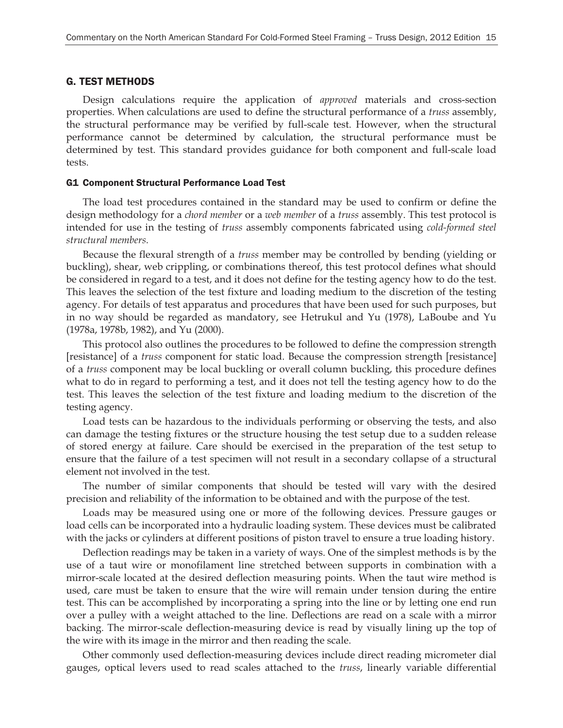# G. TEST METHODS

Design calculations require the application of *approved* materials and cross-section properties. When calculations are used to define the structural performance of a *truss* assembly, the structural performance may be verified by full-scale test. However, when the structural performance cannot be determined by calculation, the structural performance must be determined by test. This standard provides guidance for both component and full-scale load tests.

# G1 Component Structural Performance Load Test

The load test procedures contained in the standard may be used to confirm or define the design methodology for a *chord member* or a *web member* of a *truss* assembly. This test protocol is intended for use in the testing of *truss* assembly components fabricated using *cold-formed steel structural members*.

Because the flexural strength of a *truss* member may be controlled by bending (yielding or buckling), shear, web crippling, or combinations thereof, this test protocol defines what should be considered in regard to a test, and it does not define for the testing agency how to do the test. This leaves the selection of the test fixture and loading medium to the discretion of the testing agency. For details of test apparatus and procedures that have been used for such purposes, but in no way should be regarded as mandatory, see Hetrukul and Yu (1978), LaBoube and Yu (1978a, 1978b, 1982), and Yu (2000).

This protocol also outlines the procedures to be followed to define the compression strength [resistance] of a *truss* component for static load. Because the compression strength [resistance] of a *truss* component may be local buckling or overall column buckling, this procedure defines what to do in regard to performing a test, and it does not tell the testing agency how to do the test. This leaves the selection of the test fixture and loading medium to the discretion of the testing agency.

Load tests can be hazardous to the individuals performing or observing the tests, and also can damage the testing fixtures or the structure housing the test setup due to a sudden release of stored energy at failure. Care should be exercised in the preparation of the test setup to ensure that the failure of a test specimen will not result in a secondary collapse of a structural element not involved in the test.

The number of similar components that should be tested will vary with the desired precision and reliability of the information to be obtained and with the purpose of the test.

Loads may be measured using one or more of the following devices. Pressure gauges or load cells can be incorporated into a hydraulic loading system. These devices must be calibrated with the jacks or cylinders at different positions of piston travel to ensure a true loading history.

Deflection readings may be taken in a variety of ways. One of the simplest methods is by the use of a taut wire or monofilament line stretched between supports in combination with a mirror-scale located at the desired deflection measuring points. When the taut wire method is used, care must be taken to ensure that the wire will remain under tension during the entire test. This can be accomplished by incorporating a spring into the line or by letting one end run over a pulley with a weight attached to the line. Deflections are read on a scale with a mirror backing. The mirror-scale deflection-measuring device is read by visually lining up the top of the wire with its image in the mirror and then reading the scale.

Other commonly used deflection-measuring devices include direct reading micrometer dial gauges, optical levers used to read scales attached to the *truss*, linearly variable differential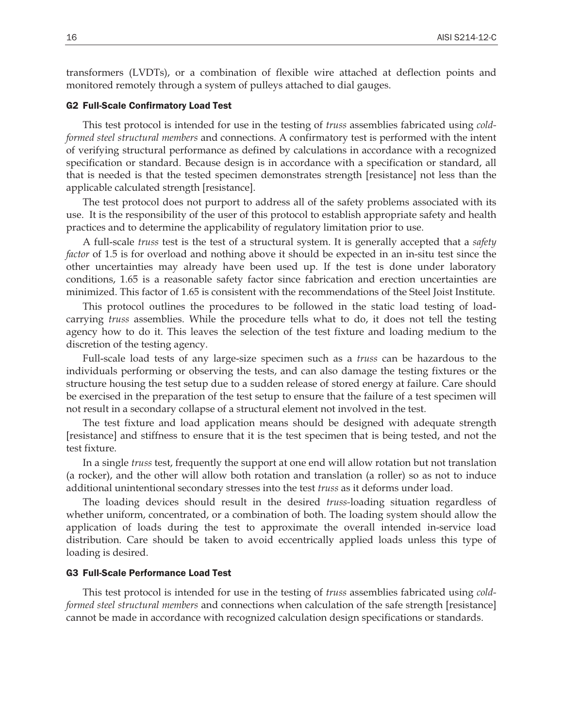transformers (LVDTs), or a combination of flexible wire attached at deflection points and monitored remotely through a system of pulleys attached to dial gauges.

## G2 Full-Scale Confirmatory Load Test

This test protocol is intended for use in the testing of *truss* assemblies fabricated using *coldformed steel structural members* and connections. A confirmatory test is performed with the intent of verifying structural performance as defined by calculations in accordance with a recognized specification or standard. Because design is in accordance with a specification or standard, all that is needed is that the tested specimen demonstrates strength [resistance] not less than the applicable calculated strength [resistance].

The test protocol does not purport to address all of the safety problems associated with its use. It is the responsibility of the user of this protocol to establish appropriate safety and health practices and to determine the applicability of regulatory limitation prior to use.

A full-scale *truss* test is the test of a structural system. It is generally accepted that a *safety factor* of 1.5 is for overload and nothing above it should be expected in an in-situ test since the other uncertainties may already have been used up. If the test is done under laboratory conditions, 1.65 is a reasonable safety factor since fabrication and erection uncertainties are minimized. This factor of 1.65 is consistent with the recommendations of the Steel Joist Institute.

This protocol outlines the procedures to be followed in the static load testing of loadcarrying *truss* assemblies. While the procedure tells what to do, it does not tell the testing agency how to do it. This leaves the selection of the test fixture and loading medium to the discretion of the testing agency.

Full-scale load tests of any large-size specimen such as a *truss* can be hazardous to the individuals performing or observing the tests, and can also damage the testing fixtures or the structure housing the test setup due to a sudden release of stored energy at failure. Care should be exercised in the preparation of the test setup to ensure that the failure of a test specimen will not result in a secondary collapse of a structural element not involved in the test.

The test fixture and load application means should be designed with adequate strength [resistance] and stiffness to ensure that it is the test specimen that is being tested, and not the test fixture.

In a single *truss* test, frequently the support at one end will allow rotation but not translation (a rocker), and the other will allow both rotation and translation (a roller) so as not to induce additional unintentional secondary stresses into the test *truss* as it deforms under load.

The loading devices should result in the desired *truss-*loading situation regardless of whether uniform, concentrated, or a combination of both. The loading system should allow the application of loads during the test to approximate the overall intended in-service load distribution. Care should be taken to avoid eccentrically applied loads unless this type of loading is desired.

#### G3 Full-Scale Performance Load Test

This test protocol is intended for use in the testing of *truss* assemblies fabricated using *coldformed steel structural members* and connections when calculation of the safe strength [resistance] cannot be made in accordance with recognized calculation design specifications or standards.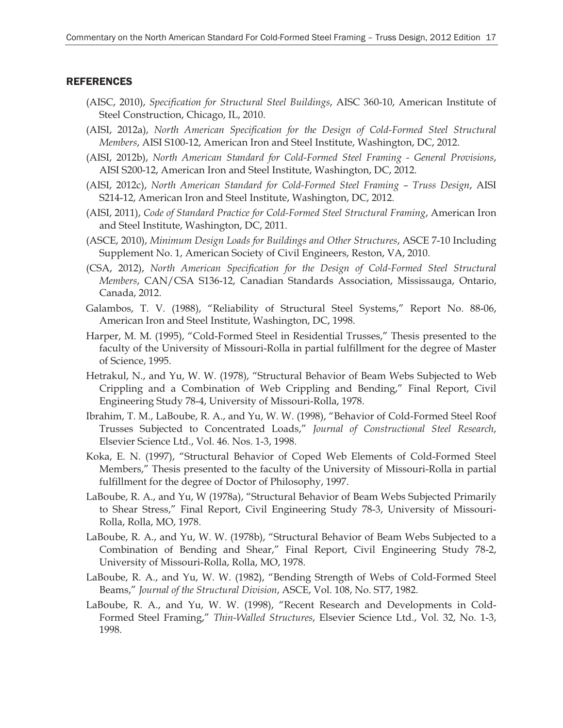# **REFERENCES**

- (AISC, 2010), *Specification for Structural Steel Buildings*, AISC 360-10, American Institute of Steel Construction, Chicago, IL, 2010.
- (AISI, 2012a), *North American Specification for the Design of Cold-Formed Steel Structural Members*, AISI S100-12, American Iron and Steel Institute, Washington, DC, 2012.
- (AISI, 2012b), *North American Standard for Cold-Formed Steel Framing General Provisions*, AISI S200-12, American Iron and Steel Institute, Washington, DC, 2012.
- (AISI, 2012c), *North American Standard for Cold-Formed Steel Framing Truss Design*, AISI S214-12, American Iron and Steel Institute, Washington, DC, 2012.
- (AISI, 2011), *Code of Standard Practice for Cold-Formed Steel Structural Framing*, American Iron and Steel Institute, Washington, DC, 2011.
- (ASCE, 2010), *Minimum Design Loads for Buildings and Other Structures*, ASCE 7-10 Including Supplement No. 1, American Society of Civil Engineers, Reston, VA, 2010.
- (CSA, 2012), *North American Specification for the Design of Cold-Formed Steel Structural Members*, CAN/CSA S136-12, Canadian Standards Association, Mississauga, Ontario, Canada, 2012.
- Galambos, T. V. (1988), "Reliability of Structural Steel Systems," Report No. 88-06, American Iron and Steel Institute, Washington, DC, 1998.
- Harper, M. M. (1995), "Cold-Formed Steel in Residential Trusses," Thesis presented to the faculty of the University of Missouri-Rolla in partial fulfillment for the degree of Master of Science, 1995.
- Hetrakul, N., and Yu, W. W. (1978), "Structural Behavior of Beam Webs Subjected to Web Crippling and a Combination of Web Crippling and Bending," Final Report, Civil Engineering Study 78-4, University of Missouri-Rolla, 1978.
- Ibrahim, T. M., LaBoube, R. A., and Yu, W. W. (1998), "Behavior of Cold-Formed Steel Roof Trusses Subjected to Concentrated Loads," *Journal of Constructional Steel Research*, Elsevier Science Ltd., Vol. 46. Nos. 1-3, 1998.
- Koka, E. N. (1997), "Structural Behavior of Coped Web Elements of Cold-Formed Steel Members," Thesis presented to the faculty of the University of Missouri-Rolla in partial fulfillment for the degree of Doctor of Philosophy, 1997.
- LaBoube, R. A., and Yu, W (1978a), "Structural Behavior of Beam Webs Subjected Primarily to Shear Stress," Final Report, Civil Engineering Study 78-3, University of Missouri-Rolla, Rolla, MO, 1978.
- LaBoube, R. A., and Yu, W. W. (1978b), "Structural Behavior of Beam Webs Subjected to a Combination of Bending and Shear," Final Report, Civil Engineering Study 78-2, University of Missouri-Rolla, Rolla, MO, 1978.
- LaBoube, R. A., and Yu, W. W. (1982), "Bending Strength of Webs of Cold-Formed Steel Beams," *Journal of the Structural Division*, ASCE, Vol. 108, No. ST7, 1982.
- LaBoube, R. A., and Yu, W. W. (1998), "Recent Research and Developments in Cold-Formed Steel Framing," *Thin-Walled Structures*, Elsevier Science Ltd., Vol. 32, No. 1-3, 1998.